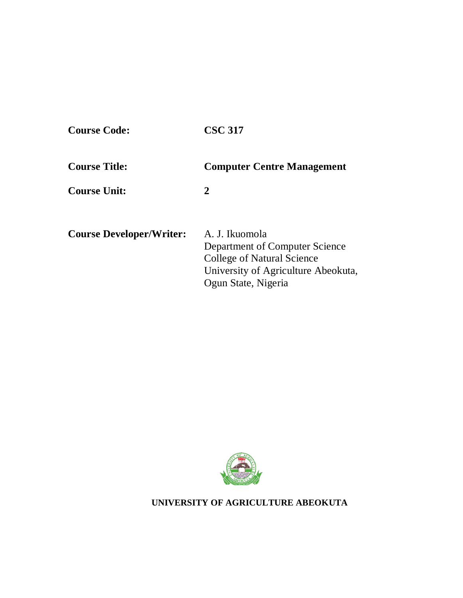| <b>Course Code:</b>             | <b>CSC 317</b>                                                                                                                               |
|---------------------------------|----------------------------------------------------------------------------------------------------------------------------------------------|
| <b>Course Title:</b>            | <b>Computer Centre Management</b>                                                                                                            |
| <b>Course Unit:</b>             | 2                                                                                                                                            |
| <b>Course Developer/Writer:</b> | A. J. Ikuomola<br>Department of Computer Science<br>College of Natural Science<br>University of Agriculture Abeokuta,<br>Ogun State, Nigeria |



**UNIVERSITY OF AGRICULTURE ABEOKUTA**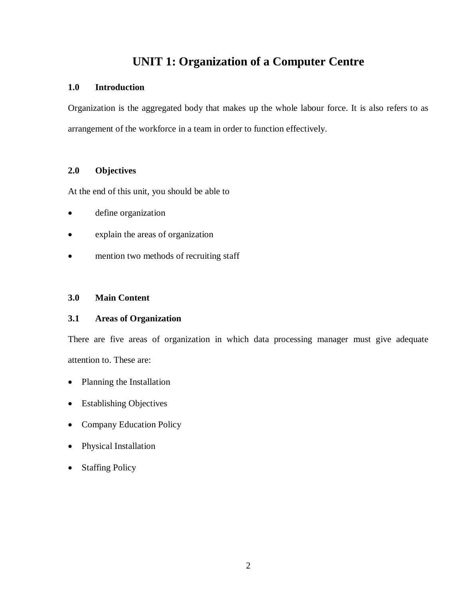# **UNIT 1: Organization of a Computer Centre**

# **1.0 Introduction**

Organization is the aggregated body that makes up the whole labour force. It is also refers to as arrangement of the workforce in a team in order to function effectively.

# **2.0 Objectives**

At the end of this unit, you should be able to

- define organization
- explain the areas of organization
- mention two methods of recruiting staff

# **3.0 Main Content**

# **3.1 Areas of Organization**

There are five areas of organization in which data processing manager must give adequate attention to. These are:

- Planning the Installation
- Establishing Objectives
- Company Education Policy
- Physical Installation
- Staffing Policy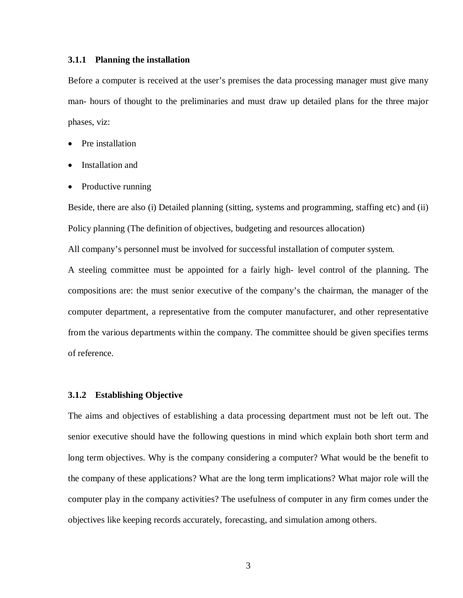#### **3.1.1 Planning the installation**

Before a computer is received at the user's premises the data processing manager must give many man- hours of thought to the preliminaries and must draw up detailed plans for the three major phases, viz:

- Pre installation
- Installation and
- Productive running

Beside, there are also (i) Detailed planning (sitting, systems and programming, staffing etc) and (ii) Policy planning (The definition of objectives, budgeting and resources allocation)

All company's personnel must be involved for successful installation of computer system.

A steeling committee must be appointed for a fairly high- level control of the planning. The compositions are: the must senior executive of the company's the chairman, the manager of the computer department, a representative from the computer manufacturer, and other representative from the various departments within the company. The committee should be given specifies terms of reference.

#### **3.1.2 Establishing Objective**

The aims and objectives of establishing a data processing department must not be left out. The senior executive should have the following questions in mind which explain both short term and long term objectives. Why is the company considering a computer? What would be the benefit to the company of these applications? What are the long term implications? What major role will the computer play in the company activities? The usefulness of computer in any firm comes under the objectives like keeping records accurately, forecasting, and simulation among others.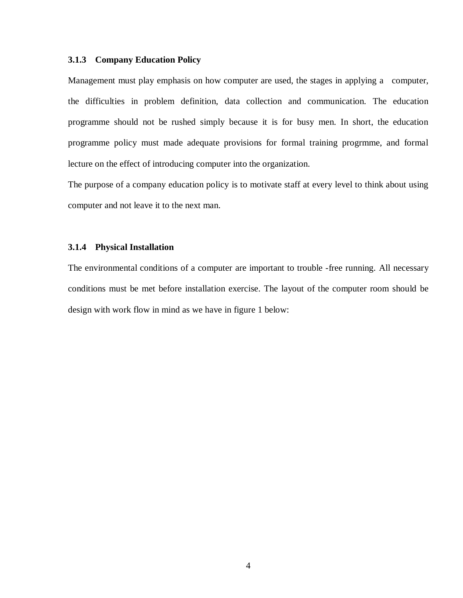#### **3.1.3 Company Education Policy**

Management must play emphasis on how computer are used, the stages in applying a computer, the difficulties in problem definition, data collection and communication. The education programme should not be rushed simply because it is for busy men. In short, the education programme policy must made adequate provisions for formal training progrmme, and formal lecture on the effect of introducing computer into the organization.

The purpose of a company education policy is to motivate staff at every level to think about using computer and not leave it to the next man.

#### **3.1.4 Physical Installation**

The environmental conditions of a computer are important to trouble -free running. All necessary conditions must be met before installation exercise. The layout of the computer room should be design with work flow in mind as we have in figure 1 below: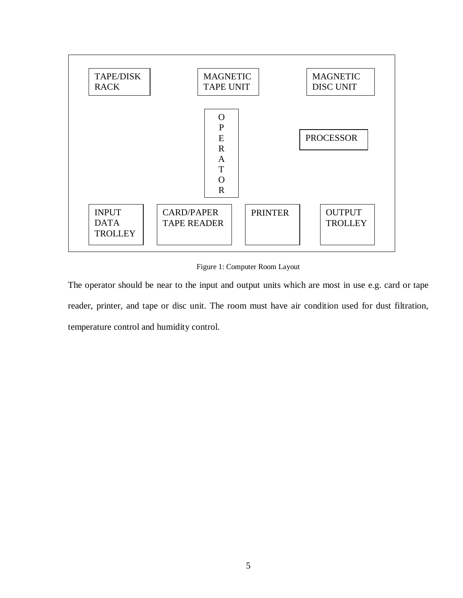

Figure 1: Computer Room Layout

The operator should be near to the input and output units which are most in use e.g. card or tape reader, printer, and tape or disc unit. The room must have air condition used for dust filtration, temperature control and humidity control.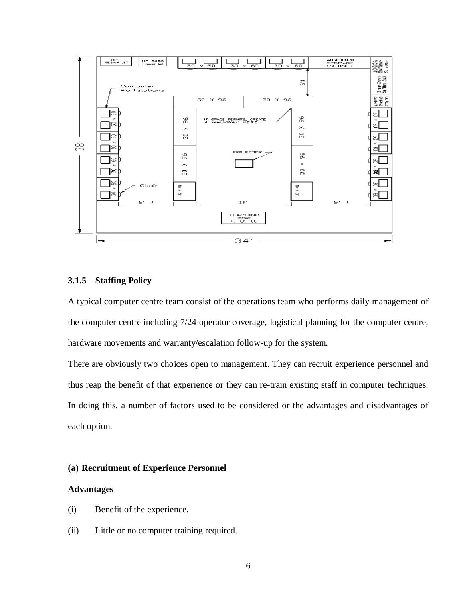

# **3.1.5 Staffing Policy**

A typical computer centre team consist of the operations team who performs daily management of the computer centre including 7/24 operator coverage, logistical planning for the computer centre, hardware movements and warranty/escalation follow-up for the system.

There are obviously two choices open to management. They can recruit experience personnel and thus reap the benefit of that experience or they can re-train existing staff in computer techniques. In doing this, a number of factors used to be considered or the advantages and disadvantages of each option.

#### **(a) Recruitment of Experience Personnel**

#### **Advantages**

- (i) Benefit of the experience.
- (ii) Little or no computer training required.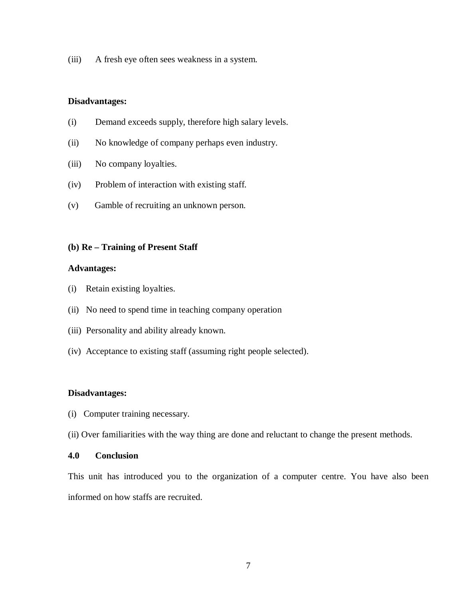(iii) A fresh eye often sees weakness in a system.

#### **Disadvantages:**

- (i) Demand exceeds supply, therefore high salary levels.
- (ii) No knowledge of company perhaps even industry.
- (iii) No company loyalties.
- (iv) Problem of interaction with existing staff.
- (v) Gamble of recruiting an unknown person.

#### **(b) Re – Training of Present Staff**

### **Advantages:**

- (i) Retain existing loyalties.
- (ii) No need to spend time in teaching company operation
- (iii) Personality and ability already known.
- (iv) Acceptance to existing staff (assuming right people selected).

#### **Disadvantages:**

- (i) Computer training necessary.
- (ii) Over familiarities with the way thing are done and reluctant to change the present methods.

# **4.0 Conclusion**

This unit has introduced you to the organization of a computer centre. You have also been informed on how staffs are recruited.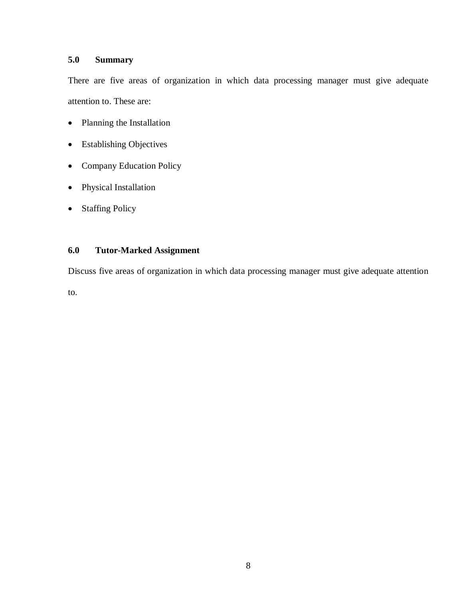# **5.0 Summary**

There are five areas of organization in which data processing manager must give adequate attention to. These are:

- Planning the Installation
- Establishing Objectives
- Company Education Policy
- Physical Installation
- Staffing Policy

# **6.0 Tutor-Marked Assignment**

Discuss five areas of organization in which data processing manager must give adequate attention

to.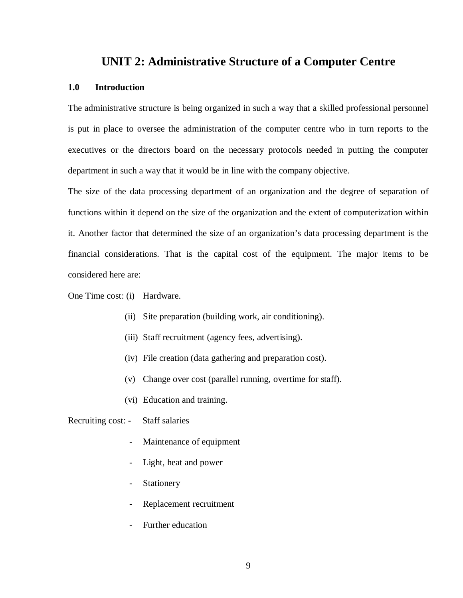# **UNIT 2: Administrative Structure of a Computer Centre**

# **1.0 Introduction**

The administrative structure is being organized in such a way that a skilled professional personnel is put in place to oversee the administration of the computer centre who in turn reports to the executives or the directors board on the necessary protocols needed in putting the computer department in such a way that it would be in line with the company objective.

The size of the data processing department of an organization and the degree of separation of functions within it depend on the size of the organization and the extent of computerization within it. Another factor that determined the size of an organization's data processing department is the financial considerations. That is the capital cost of the equipment. The major items to be considered here are:

One Time cost: (i) Hardware.

- (ii) Site preparation (building work, air conditioning).
- (iii) Staff recruitment (agency fees, advertising).
- (iv) File creation (data gathering and preparation cost).
- (v) Change over cost (parallel running, overtime for staff).
- (vi) Education and training.

Recruiting cost: - Staff salaries

- Maintenance of equipment
- Light, heat and power
- Stationery
- Replacement recruitment
- Further education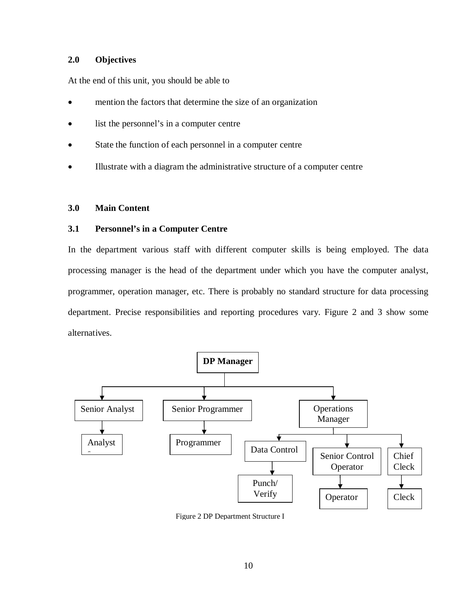# **2.0 Objectives**

At the end of this unit, you should be able to

- mention the factors that determine the size of an organization
- list the personnel's in a computer centre
- State the function of each personnel in a computer centre
- Illustrate with a diagram the administrative structure of a computer centre

## **3.0 Main Content**

# **3.1 Personnel's in a Computer Centre**

In the department various staff with different computer skills is being employed. The data processing manager is the head of the department under which you have the computer analyst, programmer, operation manager, etc. There is probably no standard structure for data processing department. Precise responsibilities and reporting procedures vary. Figure 2 and 3 show some alternatives.



Figure 2 DP Department Structure I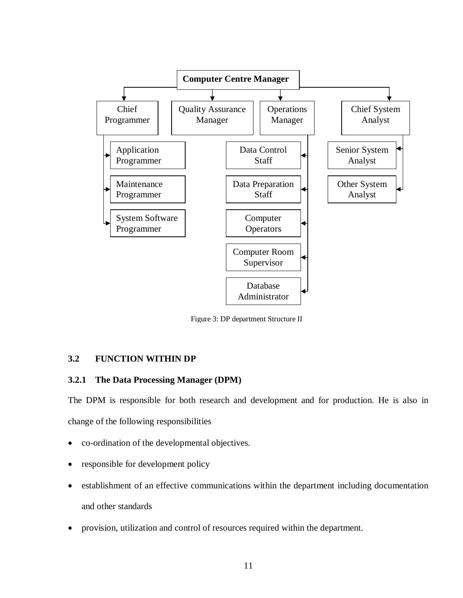

Figure 3: DP department Structure II

# **3.2 FUNCTION WITHIN DP**

# **3.2.1 The Data Processing Manager (DPM)**

The DPM is responsible for both research and development and for production. He is also in change of the following responsibilities

- co-ordination of the developmental objectives.
- responsible for development policy
- establishment of an effective communications within the department including documentation and other standards
- provision, utilization and control of resources required within the department.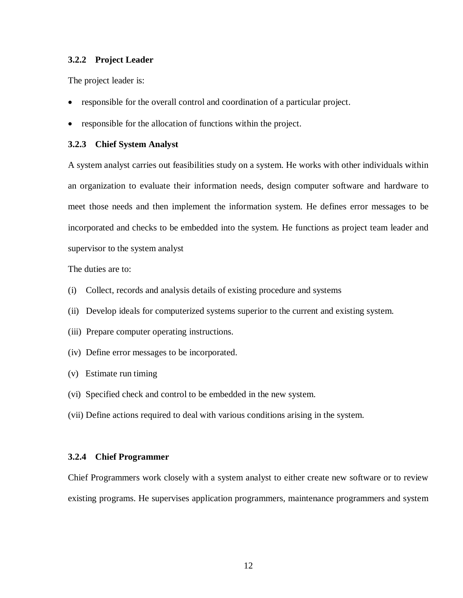#### **3.2.2 Project Leader**

The project leader is:

- responsible for the overall control and coordination of a particular project.
- responsible for the allocation of functions within the project.

#### **3.2.3 Chief System Analyst**

A system analyst carries out feasibilities study on a system. He works with other individuals within an organization to evaluate their information needs, design computer software and hardware to meet those needs and then implement the information system. He defines error messages to be incorporated and checks to be embedded into the system. He functions as project team leader and supervisor to the system analyst

The duties are to:

- (i) Collect, records and analysis details of existing procedure and systems
- (ii) Develop ideals for computerized systems superior to the current and existing system.
- (iii) Prepare computer operating instructions.
- (iv) Define error messages to be incorporated.
- (v) Estimate run timing
- (vi) Specified check and control to be embedded in the new system.
- (vii) Define actions required to deal with various conditions arising in the system.

#### **3.2.4 Chief Programmer**

Chief Programmers work closely with a system analyst to either create new software or to review existing programs. He supervises application programmers, maintenance programmers and system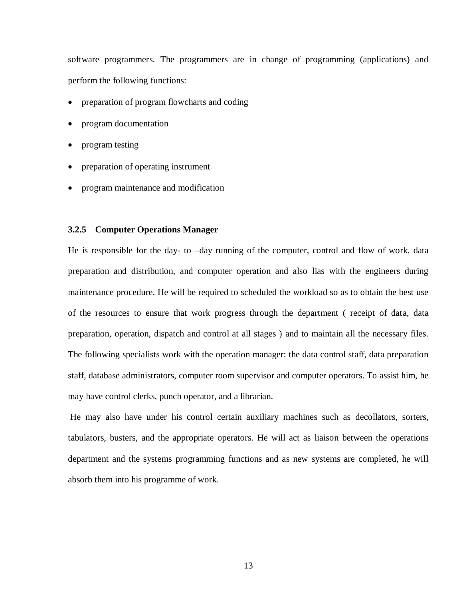software programmers. The programmers are in change of programming (applications) and perform the following functions:

- preparation of program flowcharts and coding
- program documentation
- program testing
- preparation of operating instrument
- program maintenance and modification

### **3.2.5 Computer Operations Manager**

He is responsible for the day- to -day running of the computer, control and flow of work, data preparation and distribution, and computer operation and also lias with the engineers during maintenance procedure. He will be required to scheduled the workload so as to obtain the best use of the resources to ensure that work progress through the department ( receipt of data, data preparation, operation, dispatch and control at all stages ) and to maintain all the necessary files. The following specialists work with the operation manager: the data control staff, data preparation staff, database administrators, computer room supervisor and computer operators. To assist him, he may have control clerks, punch operator, and a librarian.

He may also have under his control certain auxiliary machines such as decollators, sorters, tabulators, busters, and the appropriate operators. He will act as liaison between the operations department and the systems programming functions and as new systems are completed, he will absorb them into his programme of work.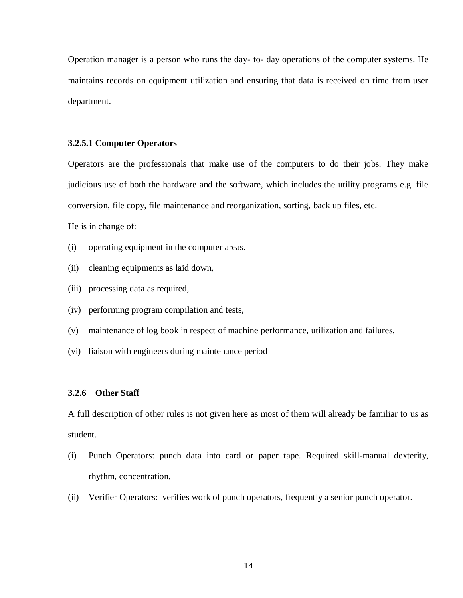Operation manager is a person who runs the day- to- day operations of the computer systems. He maintains records on equipment utilization and ensuring that data is received on time from user department.

#### **3.2.5.1 Computer Operators**

Operators are the professionals that make use of the computers to do their jobs. They make judicious use of both the hardware and the software, which includes the utility programs e.g. file conversion, file copy, file maintenance and reorganization, sorting, back up files, etc.

He is in change of:

- (i) operating equipment in the computer areas.
- (ii) cleaning equipments as laid down,
- (iii) processing data as required,
- (iv) performing program compilation and tests,
- (v) maintenance of log book in respect of machine performance, utilization and failures,
- (vi) liaison with engineers during maintenance period

#### **3.2.6 Other Staff**

A full description of other rules is not given here as most of them will already be familiar to us as student.

- (i) Punch Operators: punch data into card or paper tape. Required skill-manual dexterity, rhythm, concentration.
- (ii) Verifier Operators: verifies work of punch operators, frequently a senior punch operator.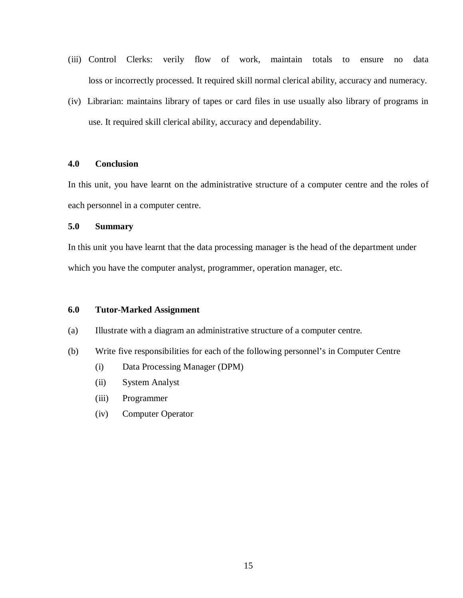- (iii) Control Clerks: verily flow of work, maintain totals to ensure no data loss or incorrectly processed. It required skill normal clerical ability, accuracy and numeracy.
- (iv) Librarian: maintains library of tapes or card files in use usually also library of programs in use. It required skill clerical ability, accuracy and dependability.

## **4.0 Conclusion**

In this unit, you have learnt on the administrative structure of a computer centre and the roles of each personnel in a computer centre.

# **5.0 Summary**

In this unit you have learnt that the data processing manager is the head of the department under which you have the computer analyst, programmer, operation manager, etc.

## **6.0 Tutor-Marked Assignment**

- (a) Illustrate with a diagram an administrative structure of a computer centre.
- (b) Write five responsibilities for each of the following personnel's in Computer Centre
	- (i) Data Processing Manager (DPM)
	- (ii) System Analyst
	- (iii) Programmer
	- (iv) Computer Operator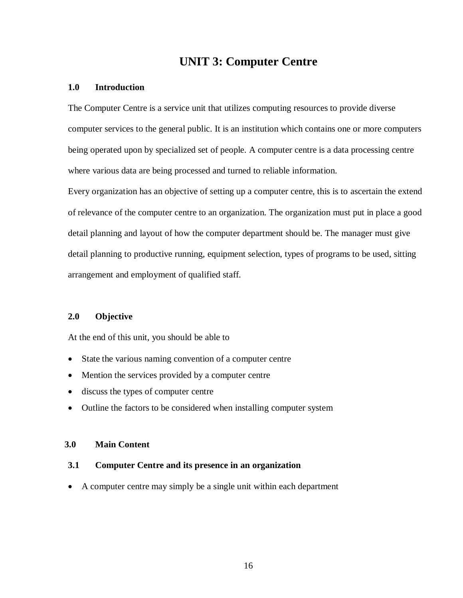# **UNIT 3: Computer Centre**

# **1.0 Introduction**

The Computer Centre is a service unit that utilizes computing resources to provide diverse computer services to the general public. It is an institution which contains one or more computers being operated upon by specialized set of people. A computer centre is a data processing centre where various data are being processed and turned to reliable information.

Every organization has an objective of setting up a computer centre, this is to ascertain the extend of relevance of the computer centre to an organization. The organization must put in place a good detail planning and layout of how the computer department should be. The manager must give detail planning to productive running, equipment selection, types of programs to be used, sitting arrangement and employment of qualified staff.

# **2.0 Objective**

At the end of this unit, you should be able to

- State the various naming convention of a computer centre
- Mention the services provided by a computer centre
- discuss the types of computer centre
- Outline the factors to be considered when installing computer system

# **3.0 Main Content**

# **3.1 Computer Centre and its presence in an organization**

A computer centre may simply be a single unit within each department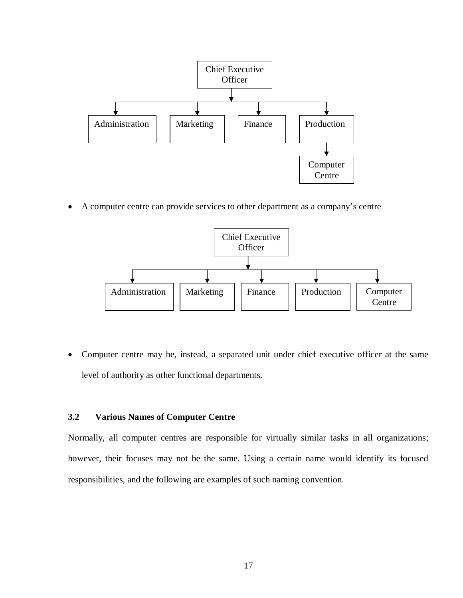

A computer centre can provide services to other department as a company's centre



 Computer centre may be, instead, a separated unit under chief executive officer at the same level of authority as other functional departments.

# **3.2 Various Names of Computer Centre**

Normally, all computer centres are responsible for virtually similar tasks in all organizations; however, their focuses may not be the same. Using a certain name would identify its focused responsibilities, and the following are examples of such naming convention.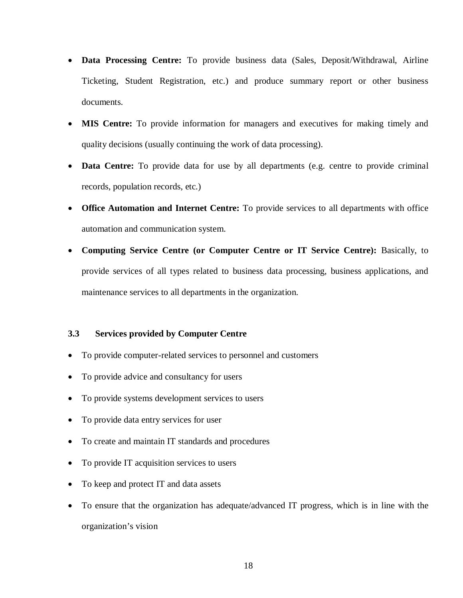- **Data Processing Centre:** To provide business data (Sales, Deposit/Withdrawal, Airline Ticketing, Student Registration, etc.) and produce summary report or other business documents.
- **MIS Centre:** To provide information for managers and executives for making timely and quality decisions (usually continuing the work of data processing).
- **Data Centre:** To provide data for use by all departments (e.g. centre to provide criminal records, population records, etc.)
- **Office Automation and Internet Centre:** To provide services to all departments with office automation and communication system.
- **Computing Service Centre (or Computer Centre or IT Service Centre):** Basically, to provide services of all types related to business data processing, business applications, and maintenance services to all departments in the organization.

# **3.3 Services provided by Computer Centre**

- To provide computer-related services to personnel and customers
- To provide advice and consultancy for users
- To provide systems development services to users
- To provide data entry services for user
- To create and maintain IT standards and procedures
- To provide IT acquisition services to users
- To keep and protect IT and data assets
- To ensure that the organization has adequate/advanced IT progress, which is in line with the organization's vision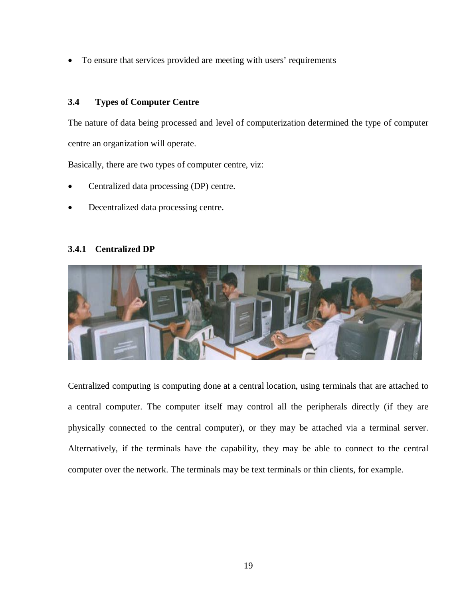To ensure that services provided are meeting with users' requirements

# **3.4 Types of Computer Centre**

The nature of data being processed and level of computerization determined the type of computer centre an organization will operate.

Basically, there are two types of computer centre, viz:

- Centralized data processing (DP) centre.
- Decentralized data processing centre.

# **3.4.1 Centralized DP**



Centralized computing is computing done at a central location, using terminals that are attached to a central computer. The computer itself may control all the peripherals directly (if they are physically connected to the central computer), or they may be attached via a terminal server. Alternatively, if the terminals have the capability, they may be able to connect to the central computer over the network. The terminals may be text terminals or thin clients, for example.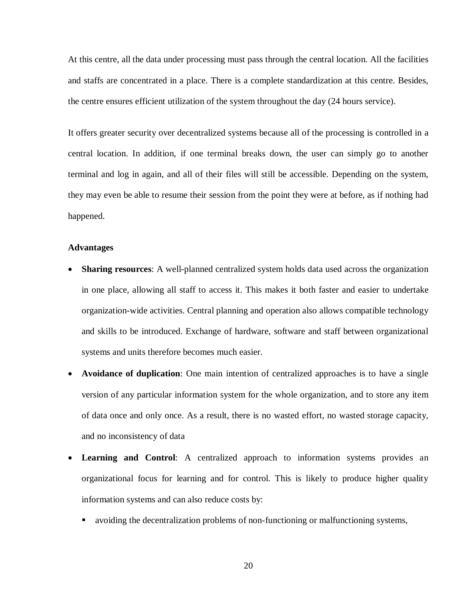At this centre, all the data under processing must pass through the central location. All the facilities and staffs are concentrated in a place. There is a complete standardization at this centre. Besides, the centre ensures efficient utilization of the system throughout the day (24 hours service).

It offers greater security over decentralized systems because all of the processing is controlled in a central location. In addition, if one terminal breaks down, the user can simply go to another terminal and log in again, and all of their files will still be accessible. Depending on the system, they may even be able to resume their session from the point they were at before, as if nothing had happened.

#### **Advantages**

- **Sharing resources**: A well-planned centralized system holds data used across the organization in one place, allowing all staff to access it. This makes it both faster and easier to undertake organization-wide activities. Central planning and operation also allows compatible technology and skills to be introduced. Exchange of hardware, software and staff between organizational systems and units therefore becomes much easier.
- **Avoidance of duplication**: One main intention of centralized approaches is to have a single version of any particular information system for the whole organization, and to store any item of data once and only once. As a result, there is no wasted effort, no wasted storage capacity, and no inconsistency of data
- **Learning and Control**: A centralized approach to information systems provides an organizational focus for learning and for control. This is likely to produce higher quality information systems and can also reduce costs by:
	- avoiding the decentralization problems of non-functioning or malfunctioning systems,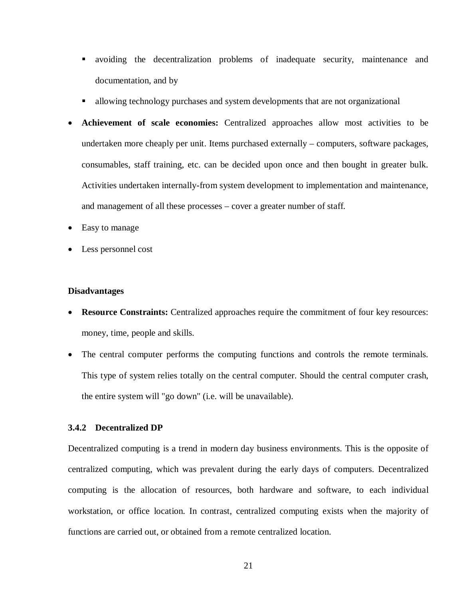- avoiding the decentralization problems of inadequate security, maintenance and documentation, and by
- allowing technology purchases and system developments that are not organizational
- **Achievement of scale economies:** Centralized approaches allow most activities to be undertaken more cheaply per unit. Items purchased externally – computers, software packages, consumables, staff training, etc. can be decided upon once and then bought in greater bulk. Activities undertaken internally-from system development to implementation and maintenance, and management of all these processes – cover a greater number of staff.
- Easy to manage
- Less personnel cost

### **Disadvantages**

- **Resource Constraints:** Centralized approaches require the commitment of four key resources: money, time, people and skills.
- The central computer performs the computing functions and controls the remote terminals. This type of system relies totally on the central computer. Should the central computer crash, the entire system will "go down" (i.e. will be unavailable).

# **3.4.2 Decentralized DP**

Decentralized computing is a trend in modern day business environments. This is the opposite of centralized computing, which was prevalent during the early days of computers. Decentralized computing is the allocation of resources, both hardware and software, to each individual workstation, or office location. In contrast, centralized computing exists when the majority of functions are carried out, or obtained from a remote centralized location.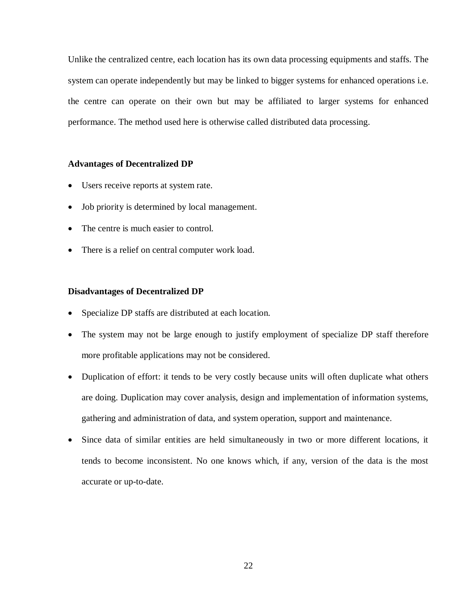Unlike the centralized centre, each location has its own data processing equipments and staffs. The system can operate independently but may be linked to bigger systems for enhanced operations i.e. the centre can operate on their own but may be affiliated to larger systems for enhanced performance. The method used here is otherwise called distributed data processing.

### **Advantages of Decentralized DP**

- Users receive reports at system rate.
- Job priority is determined by local management.
- The centre is much easier to control.
- There is a relief on central computer work load.

## **Disadvantages of Decentralized DP**

- Specialize DP staffs are distributed at each location.
- The system may not be large enough to justify employment of specialize DP staff therefore more profitable applications may not be considered.
- Duplication of effort: it tends to be very costly because units will often duplicate what others are doing. Duplication may cover analysis, design and implementation of information systems, gathering and administration of data, and system operation, support and maintenance.
- Since data of similar entities are held simultaneously in two or more different locations, it tends to become inconsistent. No one knows which, if any, version of the data is the most accurate or up-to-date.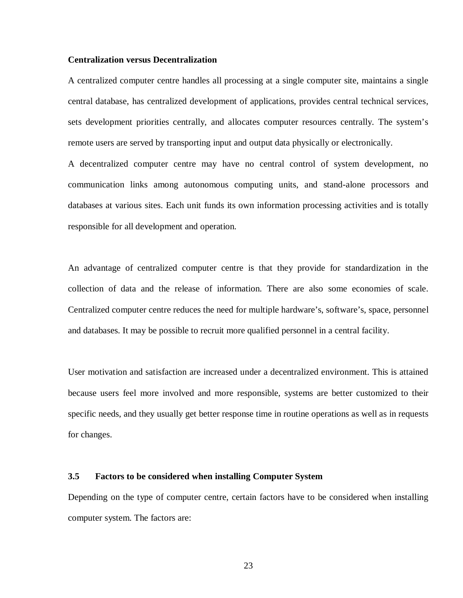#### **Centralization versus Decentralization**

A centralized computer centre handles all processing at a single computer site, maintains a single central database, has centralized development of applications, provides central technical services, sets development priorities centrally, and allocates computer resources centrally. The system's remote users are served by transporting input and output data physically or electronically.

A decentralized computer centre may have no central control of system development, no communication links among autonomous computing units, and stand-alone processors and databases at various sites. Each unit funds its own information processing activities and is totally responsible for all development and operation.

An advantage of centralized computer centre is that they provide for standardization in the collection of data and the release of information. There are also some economies of scale. Centralized computer centre reduces the need for multiple hardware's, software's, space, personnel and databases. It may be possible to recruit more qualified personnel in a central facility.

User motivation and satisfaction are increased under a decentralized environment. This is attained because users feel more involved and more responsible, systems are better customized to their specific needs, and they usually get better response time in routine operations as well as in requests for changes.

#### **3.5 Factors to be considered when installing Computer System**

Depending on the type of computer centre, certain factors have to be considered when installing computer system. The factors are: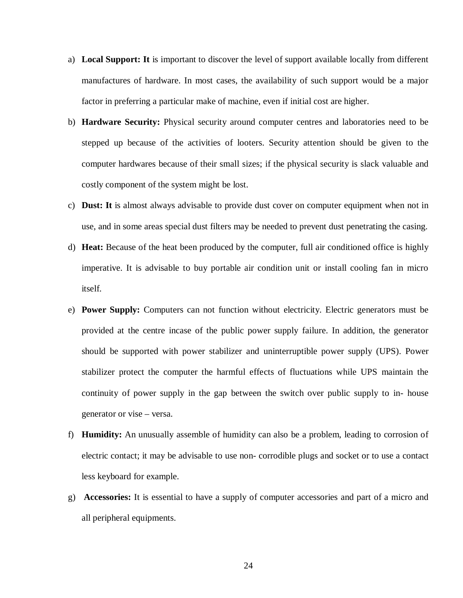- a) **Local Support: It** is important to discover the level of support available locally from different manufactures of hardware. In most cases, the availability of such support would be a major factor in preferring a particular make of machine, even if initial cost are higher.
- b) **Hardware Security:** Physical security around computer centres and laboratories need to be stepped up because of the activities of looters. Security attention should be given to the computer hardwares because of their small sizes; if the physical security is slack valuable and costly component of the system might be lost.
- c) **Dust: It** is almost always advisable to provide dust cover on computer equipment when not in use, and in some areas special dust filters may be needed to prevent dust penetrating the casing.
- d) **Heat:** Because of the heat been produced by the computer, full air conditioned office is highly imperative. It is advisable to buy portable air condition unit or install cooling fan in micro itself.
- e) **Power Supply:** Computers can not function without electricity. Electric generators must be provided at the centre incase of the public power supply failure. In addition, the generator should be supported with power stabilizer and uninterruptible power supply (UPS). Power stabilizer protect the computer the harmful effects of fluctuations while UPS maintain the continuity of power supply in the gap between the switch over public supply to in- house generator or vise – versa.
- f) **Humidity:** An unusually assemble of humidity can also be a problem, leading to corrosion of electric contact; it may be advisable to use non- corrodible plugs and socket or to use a contact less keyboard for example.
- g) **Accessories:** It is essential to have a supply of computer accessories and part of a micro and all peripheral equipments.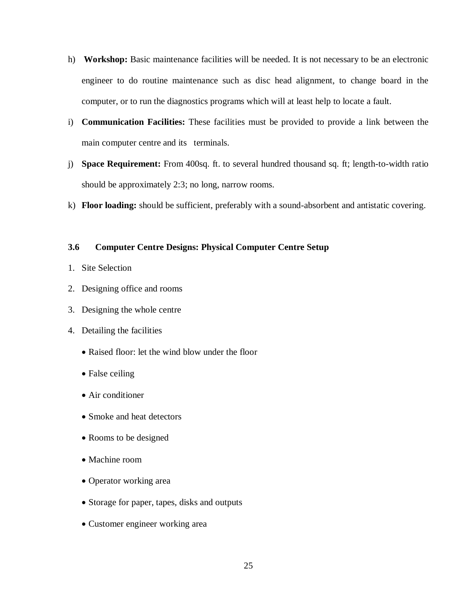- h) **Workshop:** Basic maintenance facilities will be needed. It is not necessary to be an electronic engineer to do routine maintenance such as disc head alignment, to change board in the computer, or to run the diagnostics programs which will at least help to locate a fault.
- i) **Communication Facilities:** These facilities must be provided to provide a link between the main computer centre and its terminals.
- j) **Space Requirement:** From 400sq. ft. to several hundred thousand sq. ft; length-to-width ratio should be approximately 2:3; no long, narrow rooms.
- k) **Floor loading:** should be sufficient, preferably with a sound-absorbent and antistatic covering.

# **3.6 Computer Centre Designs: Physical Computer Centre Setup**

- 1. Site Selection
- 2. Designing office and rooms
- 3. Designing the whole centre
- 4. Detailing the facilities
	- Raised floor: let the wind blow under the floor
	- False ceiling
	- Air conditioner
	- Smoke and heat detectors
	- Rooms to be designed
	- Machine room
	- Operator working area
	- Storage for paper, tapes, disks and outputs
	- Customer engineer working area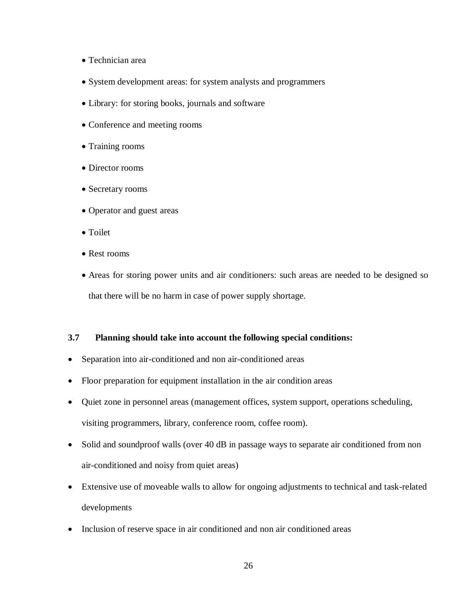- Technician area
- System development areas: for system analysts and programmers
- Library: for storing books, journals and software
- Conference and meeting rooms
- Training rooms
- Director rooms
- Secretary rooms
- Operator and guest areas
- Toilet
- Rest rooms
- Areas for storing power units and air conditioners: such areas are needed to be designed so that there will be no harm in case of power supply shortage.

# **3.7 Planning should take into account the following special conditions:**

- Separation into air-conditioned and non air-conditioned areas
- Floor preparation for equipment installation in the air condition areas
- Quiet zone in personnel areas (management offices, system support, operations scheduling, visiting programmers, library, conference room, coffee room).
- Solid and soundproof walls (over 40 dB in passage ways to separate air conditioned from non air-conditioned and noisy from quiet areas)
- Extensive use of moveable walls to allow for ongoing adjustments to technical and task-related developments
- Inclusion of reserve space in air conditioned and non air conditioned areas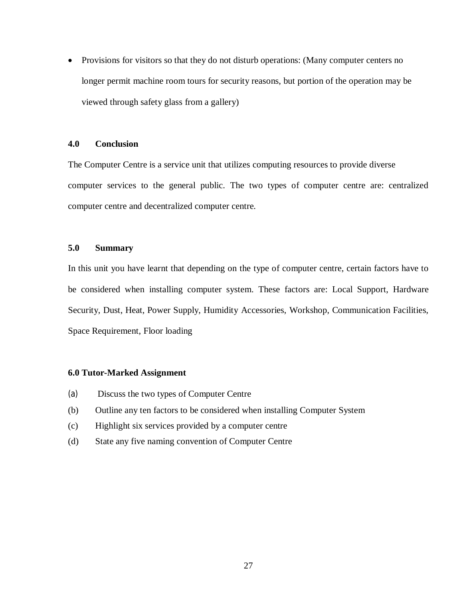• Provisions for visitors so that they do not disturb operations: (Many computer centers no longer permit machine room tours for security reasons, but portion of the operation may be viewed through safety glass from a gallery)

## **4.0 Conclusion**

The Computer Centre is a service unit that utilizes computing resources to provide diverse computer services to the general public. The two types of computer centre are: centralized computer centre and decentralized computer centre.

# **5.0 Summary**

In this unit you have learnt that depending on the type of computer centre, certain factors have to be considered when installing computer system. These factors are: Local Support, Hardware Security, Dust, Heat, Power Supply, Humidity Accessories, Workshop, Communication Facilities, Space Requirement, Floor loading

### **6.0 Tutor-Marked Assignment**

- (a) Discuss the two types of Computer Centre
- (b) Outline any ten factors to be considered when installing Computer System
- (c) Highlight six services provided by a computer centre
- (d) State any five naming convention of Computer Centre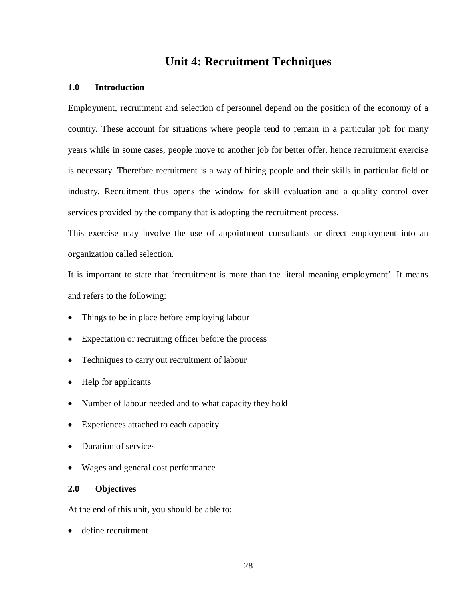# **Unit 4: Recruitment Techniques**

## **1.0 Introduction**

Employment, recruitment and selection of personnel depend on the position of the economy of a country. These account for situations where people tend to remain in a particular job for many years while in some cases, people move to another job for better offer, hence recruitment exercise is necessary. Therefore recruitment is a way of hiring people and their skills in particular field or industry. Recruitment thus opens the window for skill evaluation and a quality control over services provided by the company that is adopting the recruitment process.

This exercise may involve the use of appointment consultants or direct employment into an organization called selection.

It is important to state that 'recruitment is more than the literal meaning employment'. It means and refers to the following:

- Things to be in place before employing labour
- Expectation or recruiting officer before the process
- Techniques to carry out recruitment of labour
- Help for applicants
- Number of labour needed and to what capacity they hold
- Experiences attached to each capacity
- Duration of services
- Wages and general cost performance

# **2.0 Objectives**

At the end of this unit, you should be able to:

• define recruitment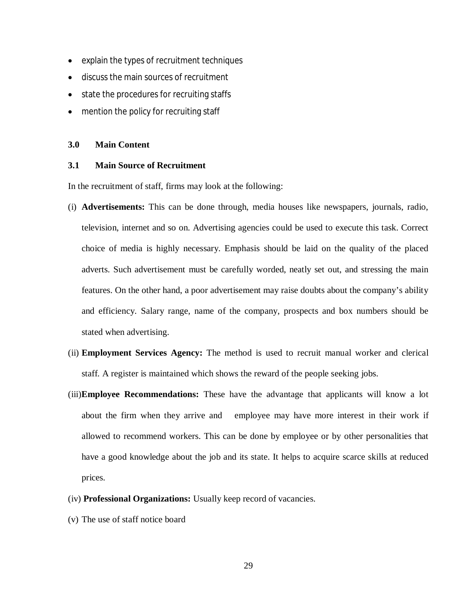- explain the types of recruitment techniques
- discuss the main sources of recruitment
- state the procedures for recruiting staffs
- mention the policy for recruiting staff

#### **3.0 Main Content**

#### **3.1 Main Source of Recruitment**

In the recruitment of staff, firms may look at the following:

- (i) **Advertisements:** This can be done through, media houses like newspapers, journals, radio, television, internet and so on. Advertising agencies could be used to execute this task. Correct choice of media is highly necessary. Emphasis should be laid on the quality of the placed adverts. Such advertisement must be carefully worded, neatly set out, and stressing the main features. On the other hand, a poor advertisement may raise doubts about the company's ability and efficiency. Salary range, name of the company, prospects and box numbers should be stated when advertising.
- (ii) **Employment Services Agency:** The method is used to recruit manual worker and clerical staff. A register is maintained which shows the reward of the people seeking jobs.
- (iii)**Employee Recommendations:** These have the advantage that applicants will know a lot about the firm when they arrive and employee may have more interest in their work if allowed to recommend workers. This can be done by employee or by other personalities that have a good knowledge about the job and its state. It helps to acquire scarce skills at reduced prices.
- (iv) **Professional Organizations:** Usually keep record of vacancies.
- (v) The use of staff notice board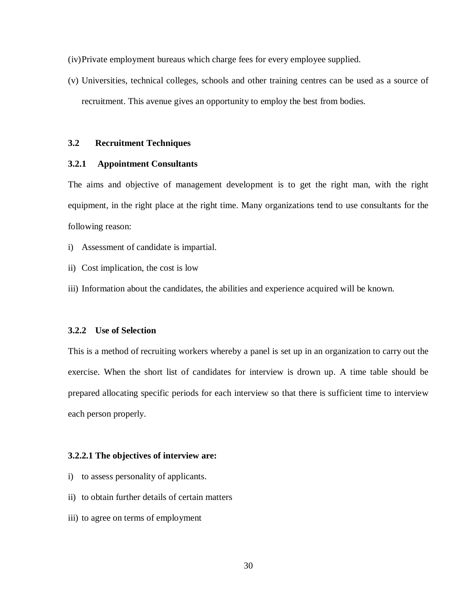(iv)Private employment bureaus which charge fees for every employee supplied.

(v) Universities, technical colleges, schools and other training centres can be used as a source of recruitment. This avenue gives an opportunity to employ the best from bodies.

# **3.2 Recruitment Techniques**

## **3.2.1 Appointment Consultants**

The aims and objective of management development is to get the right man, with the right equipment, in the right place at the right time. Many organizations tend to use consultants for the following reason:

- i) Assessment of candidate is impartial.
- ii) Cost implication, the cost is low
- iii) Information about the candidates, the abilities and experience acquired will be known.

#### **3.2.2 Use of Selection**

This is a method of recruiting workers whereby a panel is set up in an organization to carry out the exercise. When the short list of candidates for interview is drown up. A time table should be prepared allocating specific periods for each interview so that there is sufficient time to interview each person properly.

#### **3.2.2.1 The objectives of interview are:**

- i) to assess personality of applicants.
- ii) to obtain further details of certain matters
- iii) to agree on terms of employment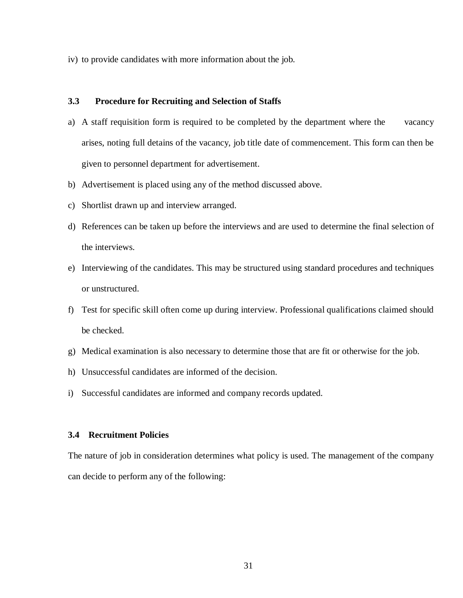iv) to provide candidates with more information about the job.

# **3.3 Procedure for Recruiting and Selection of Staffs**

- a) A staff requisition form is required to be completed by the department where the vacancy arises, noting full detains of the vacancy, job title date of commencement. This form can then be given to personnel department for advertisement.
- b) Advertisement is placed using any of the method discussed above.
- c) Shortlist drawn up and interview arranged.
- d) References can be taken up before the interviews and are used to determine the final selection of the interviews.
- e) Interviewing of the candidates. This may be structured using standard procedures and techniques or unstructured.
- f) Test for specific skill often come up during interview. Professional qualifications claimed should be checked.
- g) Medical examination is also necessary to determine those that are fit or otherwise for the job.
- h) Unsuccessful candidates are informed of the decision.
- i) Successful candidates are informed and company records updated.

### **3.4 Recruitment Policies**

The nature of job in consideration determines what policy is used. The management of the company can decide to perform any of the following: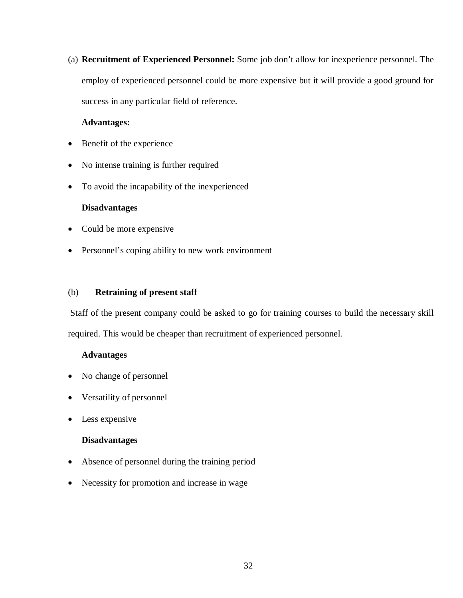(a) **Recruitment of Experienced Personnel:** Some job don't allow for inexperience personnel. The employ of experienced personnel could be more expensive but it will provide a good ground for success in any particular field of reference.

# **Advantages:**

- Benefit of the experience
- No intense training is further required
- To avoid the incapability of the inexperienced

# **Disadvantages**

- Could be more expensive
- Personnel's coping ability to new work environment

# (b) **Retraining of present staff**

Staff of the present company could be asked to go for training courses to build the necessary skill required. This would be cheaper than recruitment of experienced personnel.

# **Advantages**

- No change of personnel
- Versatility of personnel
- Less expensive

# **Disadvantages**

- Absence of personnel during the training period
- Necessity for promotion and increase in wage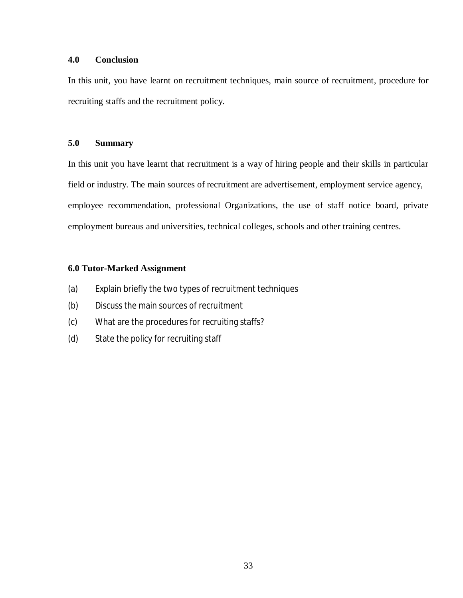# **4.0 Conclusion**

In this unit, you have learnt on recruitment techniques, main source of recruitment, procedure for recruiting staffs and the recruitment policy.

# **5.0 Summary**

In this unit you have learnt that recruitment is a way of hiring people and their skills in particular field or industry. The main sources of recruitment are advertisement, employment service agency, employee recommendation, professional Organizations, the use of staff notice board, private employment bureaus and universities, technical colleges, schools and other training centres.

# **6.0 Tutor-Marked Assignment**

- (a) Explain briefly the two types of recruitment techniques
- (b) Discuss the main sources of recruitment
- (c) What are the procedures for recruiting staffs?
- (d) State the policy for recruiting staff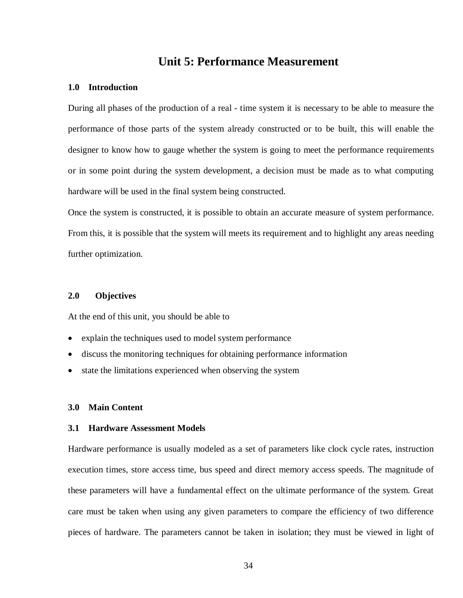# **Unit 5: Performance Measurement**

## **1.0 Introduction**

During all phases of the production of a real - time system it is necessary to be able to measure the performance of those parts of the system already constructed or to be built, this will enable the designer to know how to gauge whether the system is going to meet the performance requirements or in some point during the system development, a decision must be made as to what computing hardware will be used in the final system being constructed.

Once the system is constructed, it is possible to obtain an accurate measure of system performance. From this, it is possible that the system will meets its requirement and to highlight any areas needing further optimization.

## **2.0 Objectives**

At the end of this unit, you should be able to

- explain the techniques used to model system performance
- discuss the monitoring techniques for obtaining performance information
- state the limitations experienced when observing the system

### **3.0 Main Content**

# **3.1 Hardware Assessment Models**

Hardware performance is usually modeled as a set of parameters like clock cycle rates, instruction execution times, store access time, bus speed and direct memory access speeds. The magnitude of these parameters will have a fundamental effect on the ultimate performance of the system. Great care must be taken when using any given parameters to compare the efficiency of two difference pieces of hardware. The parameters cannot be taken in isolation; they must be viewed in light of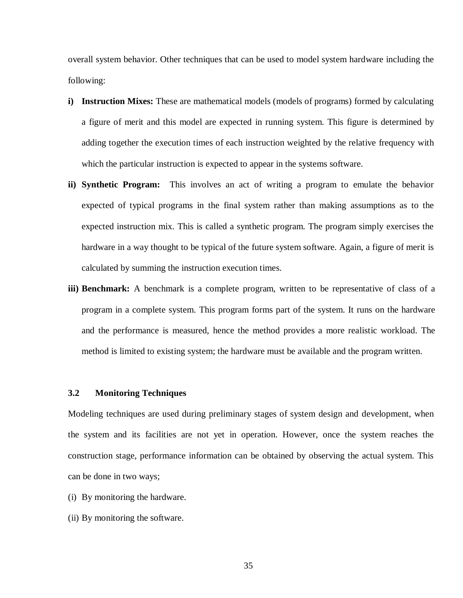overall system behavior. Other techniques that can be used to model system hardware including the following:

- **i) Instruction Mixes:** These are mathematical models (models of programs) formed by calculating a figure of merit and this model are expected in running system. This figure is determined by adding together the execution times of each instruction weighted by the relative frequency with which the particular instruction is expected to appear in the systems software.
- **ii) Synthetic Program:** This involves an act of writing a program to emulate the behavior expected of typical programs in the final system rather than making assumptions as to the expected instruction mix. This is called a synthetic program. The program simply exercises the hardware in a way thought to be typical of the future system software. Again, a figure of merit is calculated by summing the instruction execution times.
- **iii) Benchmark:** A benchmark is a complete program, written to be representative of class of a program in a complete system. This program forms part of the system. It runs on the hardware and the performance is measured, hence the method provides a more realistic workload. The method is limited to existing system; the hardware must be available and the program written.

#### **3.2 Monitoring Techniques**

Modeling techniques are used during preliminary stages of system design and development, when the system and its facilities are not yet in operation. However, once the system reaches the construction stage, performance information can be obtained by observing the actual system. This can be done in two ways;

- (i) By monitoring the hardware.
- (ii) By monitoring the software.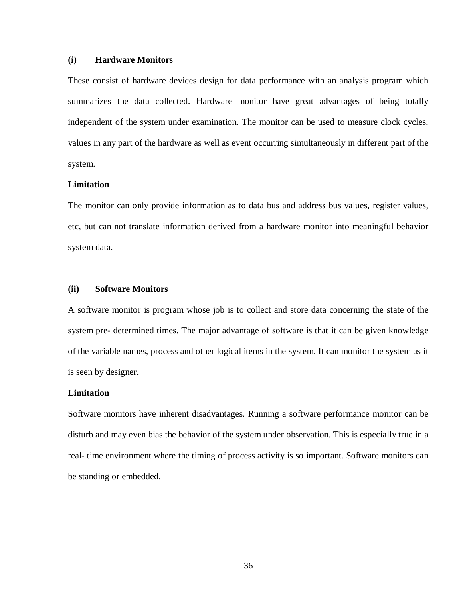#### **(i) Hardware Monitors**

These consist of hardware devices design for data performance with an analysis program which summarizes the data collected. Hardware monitor have great advantages of being totally independent of the system under examination. The monitor can be used to measure clock cycles, values in any part of the hardware as well as event occurring simultaneously in different part of the system.

# **Limitation**

The monitor can only provide information as to data bus and address bus values, register values, etc, but can not translate information derived from a hardware monitor into meaningful behavior system data.

#### **(ii) Software Monitors**

A software monitor is program whose job is to collect and store data concerning the state of the system pre- determined times. The major advantage of software is that it can be given knowledge of the variable names, process and other logical items in the system. It can monitor the system as it is seen by designer.

#### **Limitation**

Software monitors have inherent disadvantages. Running a software performance monitor can be disturb and may even bias the behavior of the system under observation. This is especially true in a real- time environment where the timing of process activity is so important. Software monitors can be standing or embedded.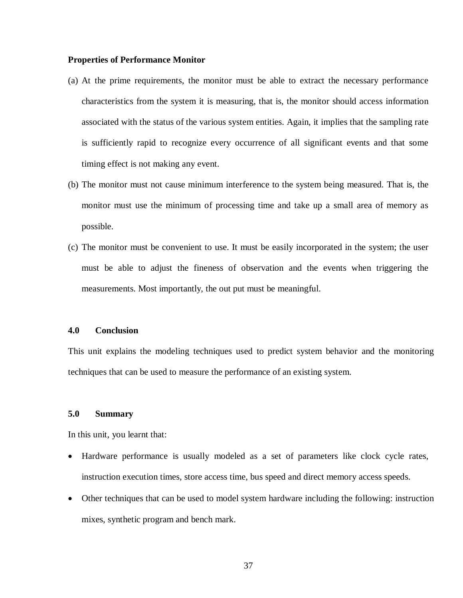#### **Properties of Performance Monitor**

- (a) At the prime requirements, the monitor must be able to extract the necessary performance characteristics from the system it is measuring, that is, the monitor should access information associated with the status of the various system entities. Again, it implies that the sampling rate is sufficiently rapid to recognize every occurrence of all significant events and that some timing effect is not making any event.
- (b) The monitor must not cause minimum interference to the system being measured. That is, the monitor must use the minimum of processing time and take up a small area of memory as possible.
- (c) The monitor must be convenient to use. It must be easily incorporated in the system; the user must be able to adjust the fineness of observation and the events when triggering the measurements. Most importantly, the out put must be meaningful.

## **4.0 Conclusion**

This unit explains the modeling techniques used to predict system behavior and the monitoring techniques that can be used to measure the performance of an existing system.

#### **5.0 Summary**

In this unit, you learnt that:

- Hardware performance is usually modeled as a set of parameters like clock cycle rates, instruction execution times, store access time, bus speed and direct memory access speeds.
- Other techniques that can be used to model system hardware including the following: instruction mixes, synthetic program and bench mark.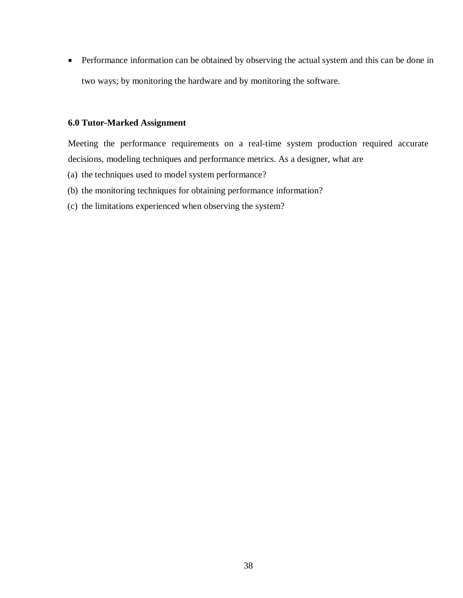Performance information can be obtained by observing the actual system and this can be done in two ways; by monitoring the hardware and by monitoring the software.

## **6.0 Tutor-Marked Assignment**

Meeting the performance requirements on a real-time system production required accurate decisions, modeling techniques and performance metrics. As a designer, what are

- (a) the techniques used to model system performance?
- (b) the monitoring techniques for obtaining performance information?
- (c) the limitations experienced when observing the system?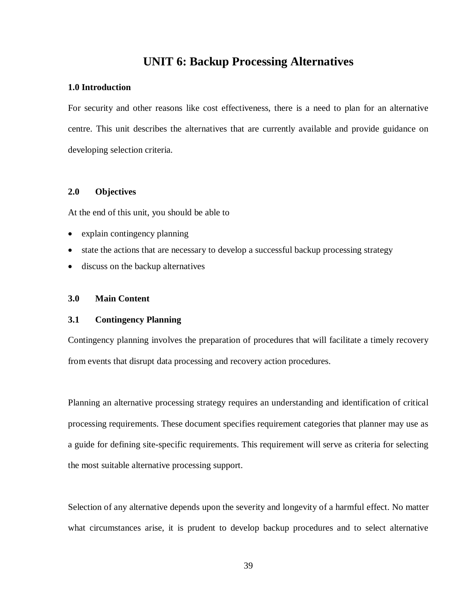# **UNIT 6: Backup Processing Alternatives**

# **1.0 Introduction**

For security and other reasons like cost effectiveness, there is a need to plan for an alternative centre. This unit describes the alternatives that are currently available and provide guidance on developing selection criteria.

## **2.0 Objectives**

At the end of this unit, you should be able to

- explain contingency planning
- state the actions that are necessary to develop a successful backup processing strategy
- discuss on the backup alternatives

# **3.0 Main Content**

# **3.1 Contingency Planning**

Contingency planning involves the preparation of procedures that will facilitate a timely recovery from events that disrupt data processing and recovery action procedures.

Planning an alternative processing strategy requires an understanding and identification of critical processing requirements. These document specifies requirement categories that planner may use as a guide for defining site-specific requirements. This requirement will serve as criteria for selecting the most suitable alternative processing support.

Selection of any alternative depends upon the severity and longevity of a harmful effect. No matter what circumstances arise, it is prudent to develop backup procedures and to select alternative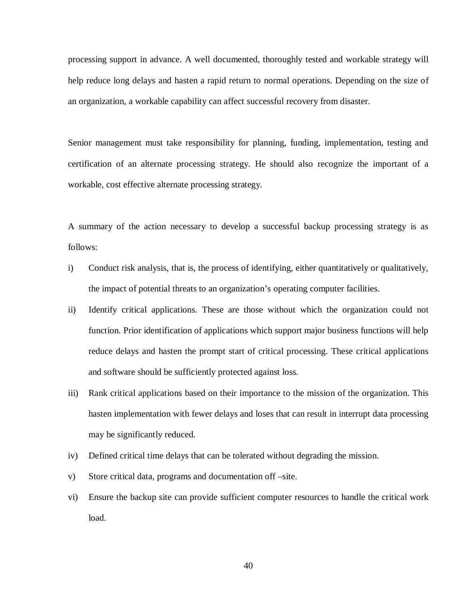processing support in advance. A well documented, thoroughly tested and workable strategy will help reduce long delays and hasten a rapid return to normal operations. Depending on the size of an organization, a workable capability can affect successful recovery from disaster.

Senior management must take responsibility for planning, funding, implementation, testing and certification of an alternate processing strategy. He should also recognize the important of a workable, cost effective alternate processing strategy.

A summary of the action necessary to develop a successful backup processing strategy is as follows:

- i) Conduct risk analysis, that is, the process of identifying, either quantitatively or qualitatively, the impact of potential threats to an organization's operating computer facilities.
- ii) Identify critical applications. These are those without which the organization could not function. Prior identification of applications which support major business functions will help reduce delays and hasten the prompt start of critical processing. These critical applications and software should be sufficiently protected against loss.
- iii) Rank critical applications based on their importance to the mission of the organization. This hasten implementation with fewer delays and loses that can result in interrupt data processing may be significantly reduced.
- iv) Defined critical time delays that can be tolerated without degrading the mission.
- v) Store critical data, programs and documentation off –site.
- vi) Ensure the backup site can provide sufficient computer resources to handle the critical work load.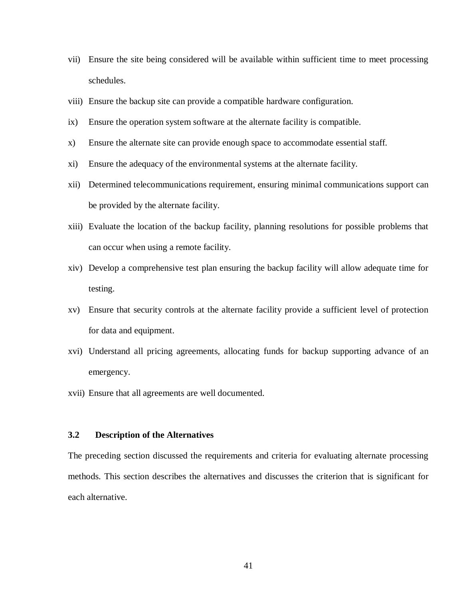- vii) Ensure the site being considered will be available within sufficient time to meet processing schedules.
- viii) Ensure the backup site can provide a compatible hardware configuration.
- ix) Ensure the operation system software at the alternate facility is compatible.
- x) Ensure the alternate site can provide enough space to accommodate essential staff.
- xi) Ensure the adequacy of the environmental systems at the alternate facility.
- xii) Determined telecommunications requirement, ensuring minimal communications support can be provided by the alternate facility.
- xiii) Evaluate the location of the backup facility, planning resolutions for possible problems that can occur when using a remote facility.
- xiv) Develop a comprehensive test plan ensuring the backup facility will allow adequate time for testing.
- xv) Ensure that security controls at the alternate facility provide a sufficient level of protection for data and equipment.
- xvi) Understand all pricing agreements, allocating funds for backup supporting advance of an emergency.
- xvii) Ensure that all agreements are well documented.

# **3.2 Description of the Alternatives**

The preceding section discussed the requirements and criteria for evaluating alternate processing methods. This section describes the alternatives and discusses the criterion that is significant for each alternative.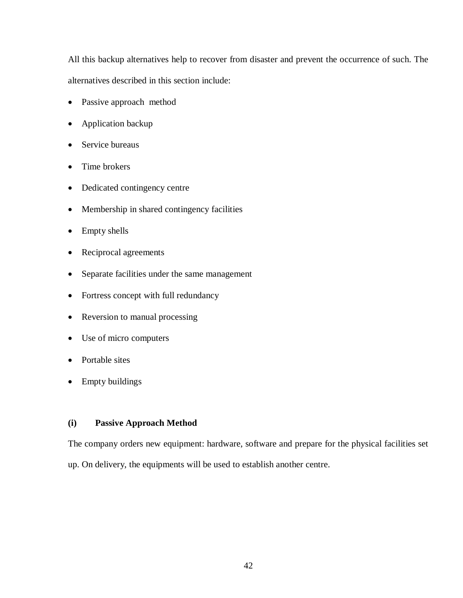All this backup alternatives help to recover from disaster and prevent the occurrence of such. The alternatives described in this section include:

- Passive approach method
- Application backup
- Service bureaus
- Time brokers
- Dedicated contingency centre
- Membership in shared contingency facilities
- Empty shells
- Reciprocal agreements
- Separate facilities under the same management
- Fortress concept with full redundancy
- Reversion to manual processing
- Use of micro computers
- Portable sites
- Empty buildings

# **(i) Passive Approach Method**

The company orders new equipment: hardware, software and prepare for the physical facilities set up. On delivery, the equipments will be used to establish another centre.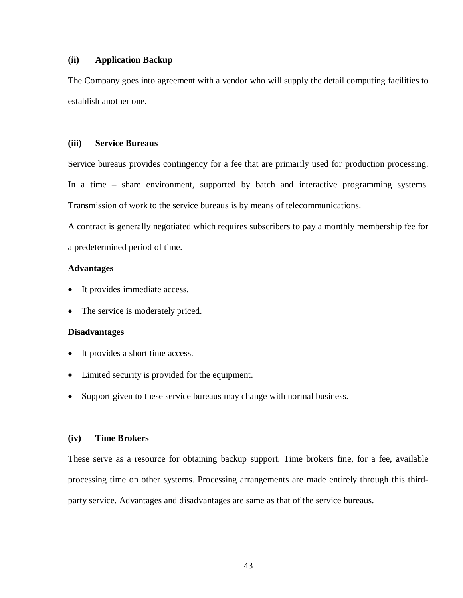## **(ii) Application Backup**

The Company goes into agreement with a vendor who will supply the detail computing facilities to establish another one.

#### **(iii) Service Bureaus**

Service bureaus provides contingency for a fee that are primarily used for production processing. In a time – share environment, supported by batch and interactive programming systems. Transmission of work to the service bureaus is by means of telecommunications.

A contract is generally negotiated which requires subscribers to pay a monthly membership fee for a predetermined period of time.

## **Advantages**

- It provides immediate access.
- The service is moderately priced.

### **Disadvantages**

- It provides a short time access.
- Limited security is provided for the equipment.
- Support given to these service bureaus may change with normal business.

# **(iv) Time Brokers**

These serve as a resource for obtaining backup support. Time brokers fine, for a fee, available processing time on other systems. Processing arrangements are made entirely through this thirdparty service. Advantages and disadvantages are same as that of the service bureaus.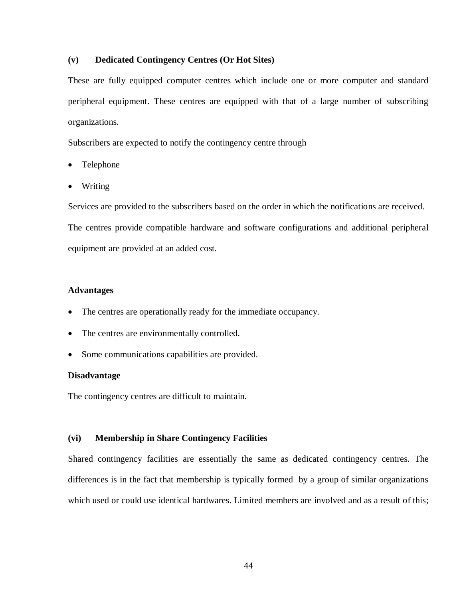## **(v) Dedicated Contingency Centres (Or Hot Sites)**

These are fully equipped computer centres which include one or more computer and standard peripheral equipment. These centres are equipped with that of a large number of subscribing organizations.

Subscribers are expected to notify the contingency centre through

- Telephone
- Writing

Services are provided to the subscribers based on the order in which the notifications are received. The centres provide compatible hardware and software configurations and additional peripheral equipment are provided at an added cost.

## **Advantages**

- The centres are operationally ready for the immediate occupancy.
- The centres are environmentally controlled.
- Some communications capabilities are provided.

#### **Disadvantage**

The contingency centres are difficult to maintain.

## **(vi) Membership in Share Contingency Facilities**

Shared contingency facilities are essentially the same as dedicated contingency centres. The differences is in the fact that membership is typically formed by a group of similar organizations which used or could use identical hardwares. Limited members are involved and as a result of this;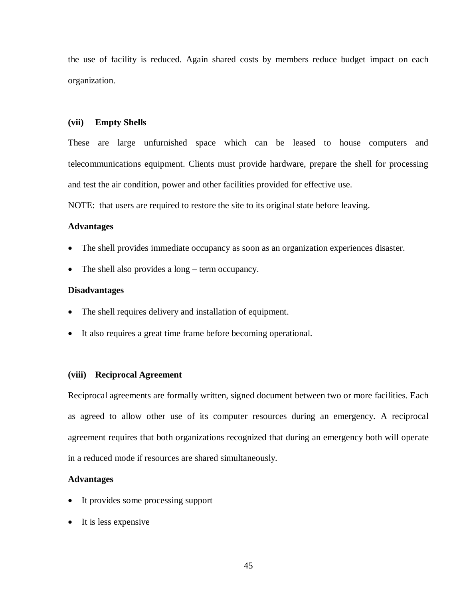the use of facility is reduced. Again shared costs by members reduce budget impact on each organization.

#### **(vii) Empty Shells**

These are large unfurnished space which can be leased to house computers and telecommunications equipment. Clients must provide hardware, prepare the shell for processing and test the air condition, power and other facilities provided for effective use.

NOTE: that users are required to restore the site to its original state before leaving.

### **Advantages**

- The shell provides immediate occupancy as soon as an organization experiences disaster.
- The shell also provides a long term occupancy.

### **Disadvantages**

- The shell requires delivery and installation of equipment.
- It also requires a great time frame before becoming operational.

#### **(viii) Reciprocal Agreement**

Reciprocal agreements are formally written, signed document between two or more facilities. Each as agreed to allow other use of its computer resources during an emergency. A reciprocal agreement requires that both organizations recognized that during an emergency both will operate in a reduced mode if resources are shared simultaneously.

## **Advantages**

- It provides some processing support
- It is less expensive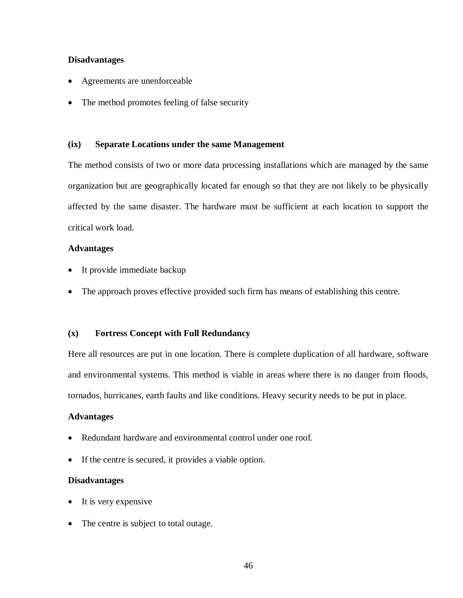## **Disadvantages**

- Agreements are unenforceable
- The method promotes feeling of false security

#### **(ix) Separate Locations under the same Management**

The method consists of two or more data processing installations which are managed by the same organization but are geographically located far enough so that they are not likely to be physically affected by the same disaster. The hardware must be sufficient at each location to support the critical work load.

## **Advantages**

- It provide immediate backup
- The approach proves effective provided such firm has means of establishing this centre.

#### **(x) Fortress Concept with Full Redundancy**

Here all resources are put in one location. There is complete duplication of all hardware, software and environmental systems. This method is viable in areas where there is no danger from floods, tornados, hurricanes, earth faults and like conditions. Heavy security needs to be put in place.

### **Advantages**

- Redundant hardware and environmental control under one roof.
- If the centre is secured, it provides a viable option.

#### **Disadvantages**

- It is very expensive
- The centre is subject to total outage.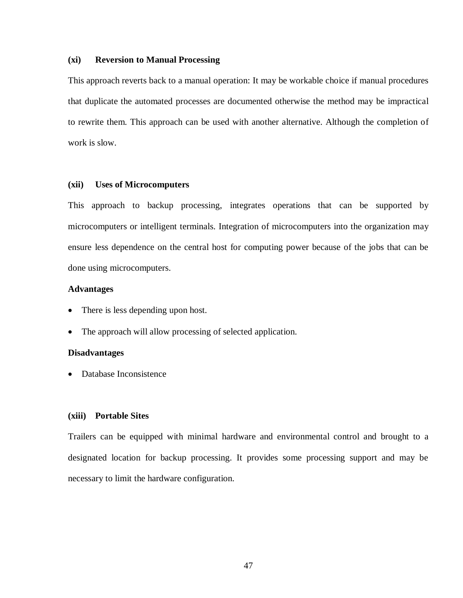#### **(xi) Reversion to Manual Processing**

This approach reverts back to a manual operation: It may be workable choice if manual procedures that duplicate the automated processes are documented otherwise the method may be impractical to rewrite them. This approach can be used with another alternative. Although the completion of work is slow.

#### **(xii) Uses of Microcomputers**

This approach to backup processing, integrates operations that can be supported by microcomputers or intelligent terminals. Integration of microcomputers into the organization may ensure less dependence on the central host for computing power because of the jobs that can be done using microcomputers.

#### **Advantages**

- There is less depending upon host.
- The approach will allow processing of selected application.

#### **Disadvantages**

• Database Inconsistence

#### **(xiii) Portable Sites**

Trailers can be equipped with minimal hardware and environmental control and brought to a designated location for backup processing. It provides some processing support and may be necessary to limit the hardware configuration.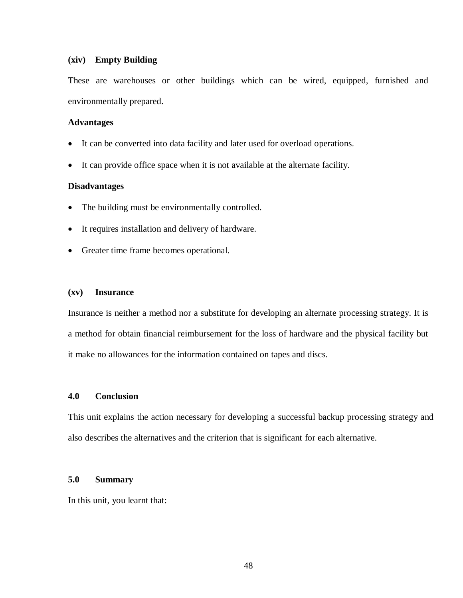#### **(xiv) Empty Building**

These are warehouses or other buildings which can be wired, equipped, furnished and environmentally prepared.

#### **Advantages**

- It can be converted into data facility and later used for overload operations.
- It can provide office space when it is not available at the alternate facility.

#### **Disadvantages**

- The building must be environmentally controlled.
- It requires installation and delivery of hardware.
- Greater time frame becomes operational.

# **(xv) Insurance**

Insurance is neither a method nor a substitute for developing an alternate processing strategy. It is a method for obtain financial reimbursement for the loss of hardware and the physical facility but it make no allowances for the information contained on tapes and discs.

# **4.0 Conclusion**

This unit explains the action necessary for developing a successful backup processing strategy and also describes the alternatives and the criterion that is significant for each alternative.

# **5.0 Summary**

In this unit, you learnt that: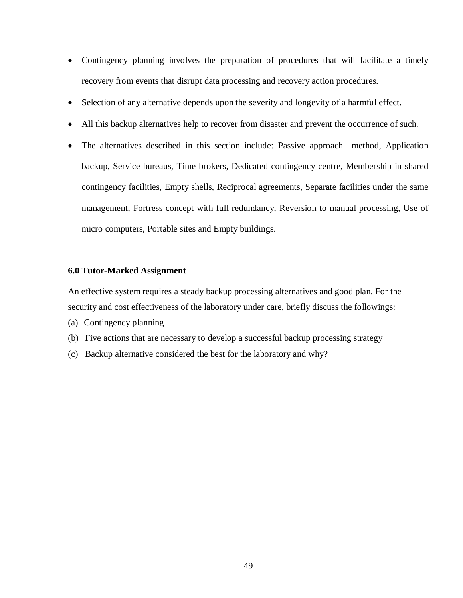- Contingency planning involves the preparation of procedures that will facilitate a timely recovery from events that disrupt data processing and recovery action procedures.
- Selection of any alternative depends upon the severity and longevity of a harmful effect.
- All this backup alternatives help to recover from disaster and prevent the occurrence of such.
- The alternatives described in this section include: Passive approach method, Application backup, Service bureaus, Time brokers, Dedicated contingency centre, Membership in shared contingency facilities, Empty shells, Reciprocal agreements, Separate facilities under the same management, Fortress concept with full redundancy, Reversion to manual processing, Use of micro computers, Portable sites and Empty buildings.

### **6.0 Tutor-Marked Assignment**

An effective system requires a steady backup processing alternatives and good plan. For the security and cost effectiveness of the laboratory under care, briefly discuss the followings:

- (a) Contingency planning
- (b) Five actions that are necessary to develop a successful backup processing strategy
- (c) Backup alternative considered the best for the laboratory and why?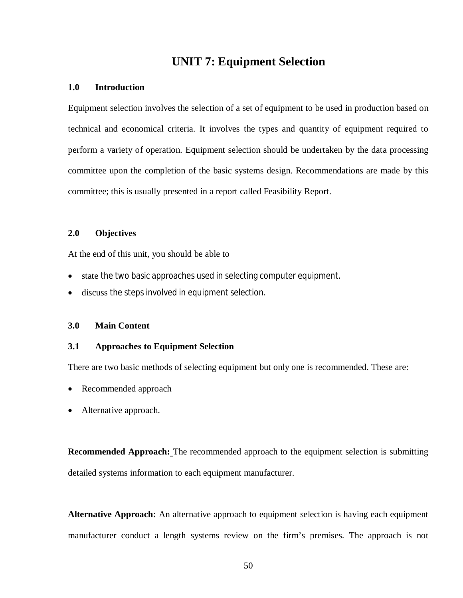# **UNIT 7: Equipment Selection**

## **1.0 Introduction**

Equipment selection involves the selection of a set of equipment to be used in production based on technical and economical criteria. It involves the types and quantity of equipment required to perform a variety of operation. Equipment selection should be undertaken by the data processing committee upon the completion of the basic systems design. Recommendations are made by this committee; this is usually presented in a report called Feasibility Report.

# **2.0 Objectives**

At the end of this unit, you should be able to

- state the two basic approaches used in selecting computer equipment.
- discuss the steps involved in equipment selection.

### **3.0 Main Content**

# **3.1 Approaches to Equipment Selection**

There are two basic methods of selecting equipment but only one is recommended. These are:

- Recommended approach
- Alternative approach.

**Recommended Approach:** The recommended approach to the equipment selection is submitting detailed systems information to each equipment manufacturer.

**Alternative Approach:** An alternative approach to equipment selection is having each equipment manufacturer conduct a length systems review on the firm's premises. The approach is not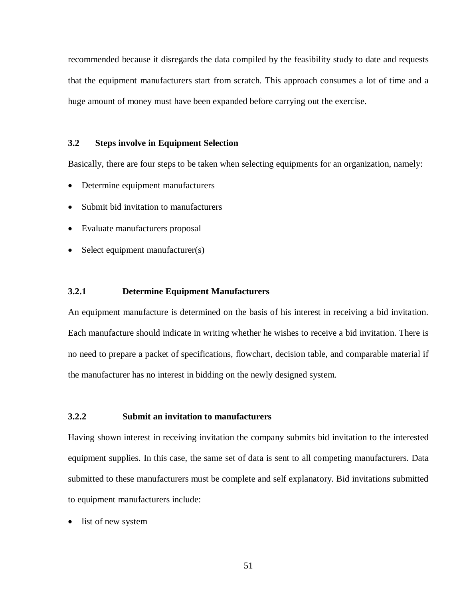recommended because it disregards the data compiled by the feasibility study to date and requests that the equipment manufacturers start from scratch. This approach consumes a lot of time and a huge amount of money must have been expanded before carrying out the exercise.

# **3.2 Steps involve in Equipment Selection**

Basically, there are four steps to be taken when selecting equipments for an organization, namely:

- Determine equipment manufacturers
- Submit bid invitation to manufacturers
- Evaluate manufacturers proposal
- Select equipment manufacturer(s)

## **3.2.1 Determine Equipment Manufacturers**

An equipment manufacture is determined on the basis of his interest in receiving a bid invitation. Each manufacture should indicate in writing whether he wishes to receive a bid invitation. There is no need to prepare a packet of specifications, flowchart, decision table, and comparable material if the manufacturer has no interest in bidding on the newly designed system.

# **3.2.2 Submit an invitation to manufacturers**

Having shown interest in receiving invitation the company submits bid invitation to the interested equipment supplies. In this case, the same set of data is sent to all competing manufacturers. Data submitted to these manufacturers must be complete and self explanatory. Bid invitations submitted to equipment manufacturers include:

• list of new system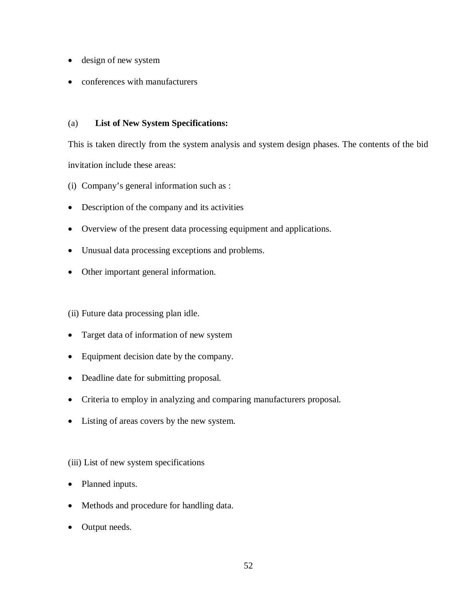- design of new system
- conferences with manufacturers

# (a) **List of New System Specifications:**

This is taken directly from the system analysis and system design phases. The contents of the bid invitation include these areas:

- (i) Company's general information such as :
- Description of the company and its activities
- Overview of the present data processing equipment and applications.
- Unusual data processing exceptions and problems.
- Other important general information.

(ii) Future data processing plan idle.

- Target data of information of new system
- Equipment decision date by the company.
- Deadline date for submitting proposal.
- Criteria to employ in analyzing and comparing manufacturers proposal.
- Listing of areas covers by the new system.

# (iii) List of new system specifications

- Planned inputs.
- Methods and procedure for handling data.
- Output needs.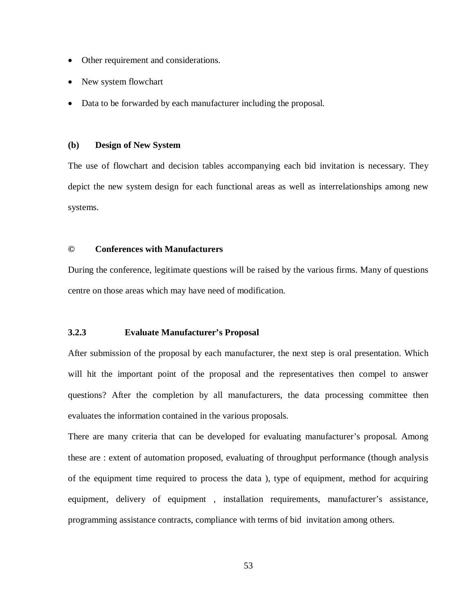- Other requirement and considerations.
- New system flowchart
- Data to be forwarded by each manufacturer including the proposal.

### **(b) Design of New System**

The use of flowchart and decision tables accompanying each bid invitation is necessary. They depict the new system design for each functional areas as well as interrelationships among new systems.

# **© Conferences with Manufacturers**

During the conference, legitimate questions will be raised by the various firms. Many of questions centre on those areas which may have need of modification.

# **3.2.3 Evaluate Manufacturer's Proposal**

After submission of the proposal by each manufacturer, the next step is oral presentation. Which will hit the important point of the proposal and the representatives then compel to answer questions? After the completion by all manufacturers, the data processing committee then evaluates the information contained in the various proposals.

There are many criteria that can be developed for evaluating manufacturer's proposal. Among these are : extent of automation proposed, evaluating of throughput performance (though analysis of the equipment time required to process the data ), type of equipment, method for acquiring equipment, delivery of equipment , installation requirements, manufacturer's assistance, programming assistance contracts, compliance with terms of bid invitation among others.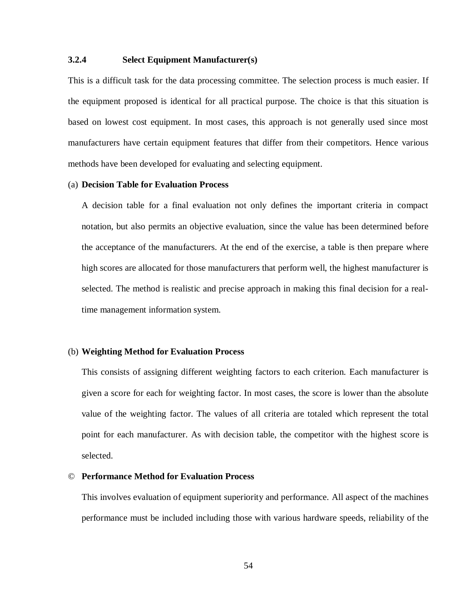# **3.2.4 Select Equipment Manufacturer(s)**

This is a difficult task for the data processing committee. The selection process is much easier. If the equipment proposed is identical for all practical purpose. The choice is that this situation is based on lowest cost equipment. In most cases, this approach is not generally used since most manufacturers have certain equipment features that differ from their competitors. Hence various methods have been developed for evaluating and selecting equipment.

#### (a) **Decision Table for Evaluation Process**

A decision table for a final evaluation not only defines the important criteria in compact notation, but also permits an objective evaluation, since the value has been determined before the acceptance of the manufacturers. At the end of the exercise, a table is then prepare where high scores are allocated for those manufacturers that perform well, the highest manufacturer is selected. The method is realistic and precise approach in making this final decision for a realtime management information system.

#### (b) **Weighting Method for Evaluation Process**

This consists of assigning different weighting factors to each criterion. Each manufacturer is given a score for each for weighting factor. In most cases, the score is lower than the absolute value of the weighting factor. The values of all criteria are totaled which represent the total point for each manufacturer. As with decision table, the competitor with the highest score is selected.

#### © **Performance Method for Evaluation Process**

This involves evaluation of equipment superiority and performance. All aspect of the machines performance must be included including those with various hardware speeds, reliability of the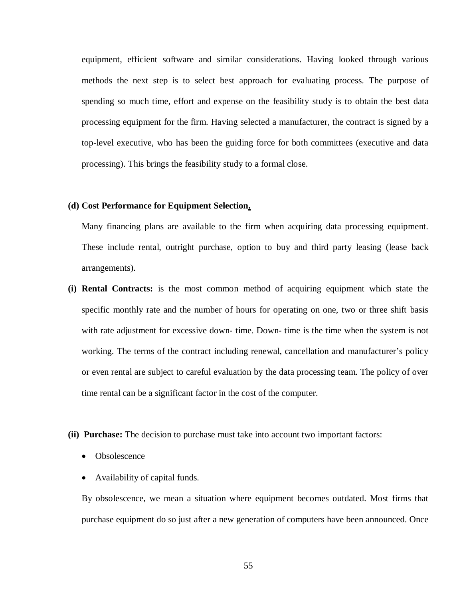equipment, efficient software and similar considerations. Having looked through various methods the next step is to select best approach for evaluating process. The purpose of spending so much time, effort and expense on the feasibility study is to obtain the best data processing equipment for the firm. Having selected a manufacturer, the contract is signed by a top-level executive, who has been the guiding force for both committees (executive and data processing). This brings the feasibility study to a formal close.

#### **(d) Cost Performance for Equipment Selection.**

Many financing plans are available to the firm when acquiring data processing equipment. These include rental, outright purchase, option to buy and third party leasing (lease back arrangements).

- **(i) Rental Contracts:** is the most common method of acquiring equipment which state the specific monthly rate and the number of hours for operating on one, two or three shift basis with rate adjustment for excessive down- time. Down- time is the time when the system is not working. The terms of the contract including renewal, cancellation and manufacturer's policy or even rental are subject to careful evaluation by the data processing team. The policy of over time rental can be a significant factor in the cost of the computer.
- **(ii) Purchase:** The decision to purchase must take into account two important factors:
	- Obsolescence
	- Availability of capital funds.

By obsolescence, we mean a situation where equipment becomes outdated. Most firms that purchase equipment do so just after a new generation of computers have been announced. Once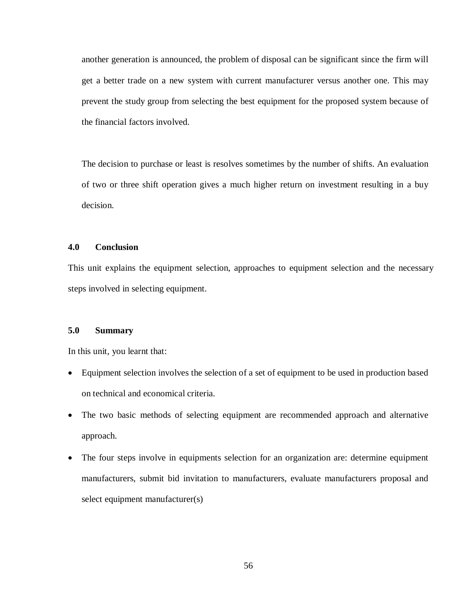another generation is announced, the problem of disposal can be significant since the firm will get a better trade on a new system with current manufacturer versus another one. This may prevent the study group from selecting the best equipment for the proposed system because of the financial factors involved.

The decision to purchase or least is resolves sometimes by the number of shifts. An evaluation of two or three shift operation gives a much higher return on investment resulting in a buy decision.

# **4.0 Conclusion**

This unit explains the equipment selection, approaches to equipment selection and the necessary steps involved in selecting equipment.

# **5.0 Summary**

In this unit, you learnt that:

- Equipment selection involves the selection of a set of equipment to be used in production based on technical and economical criteria.
- The two basic methods of selecting equipment are recommended approach and alternative approach.
- The four steps involve in equipments selection for an organization are: determine equipment manufacturers, submit bid invitation to manufacturers, evaluate manufacturers proposal and select equipment manufacturer(s)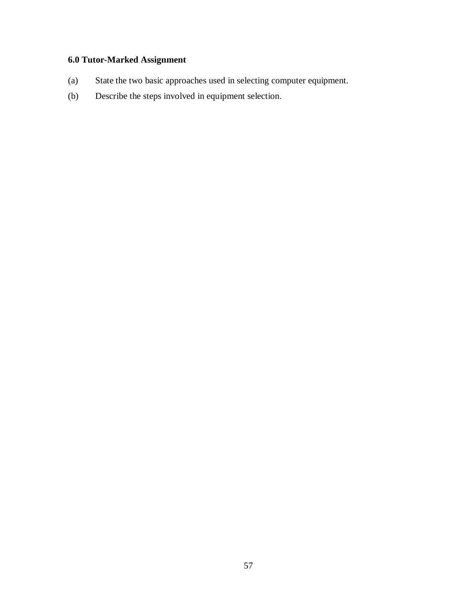# **6.0 Tutor-Marked Assignment**

- (a) State the two basic approaches used in selecting computer equipment.
- (b) Describe the steps involved in equipment selection.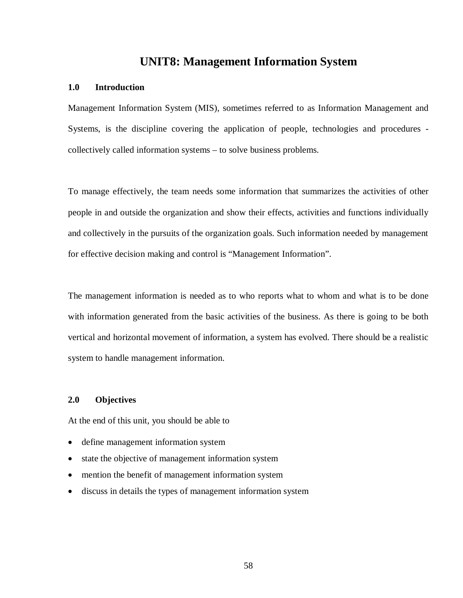# **UNIT8: Management Information System**

# **1.0 Introduction**

Management Information System (MIS), sometimes referred to as Information Management and Systems, is the discipline covering the application of people, technologies and procedures collectively called information systems – to solve business problems.

To manage effectively, the team needs some information that summarizes the activities of other people in and outside the organization and show their effects, activities and functions individually and collectively in the pursuits of the organization goals. Such information needed by management for effective decision making and control is "Management Information".

The management information is needed as to who reports what to whom and what is to be done with information generated from the basic activities of the business. As there is going to be both vertical and horizontal movement of information, a system has evolved. There should be a realistic system to handle management information.

# **2.0 Objectives**

At the end of this unit, you should be able to

- define management information system
- state the objective of management information system
- mention the benefit of management information system
- discuss in details the types of management information system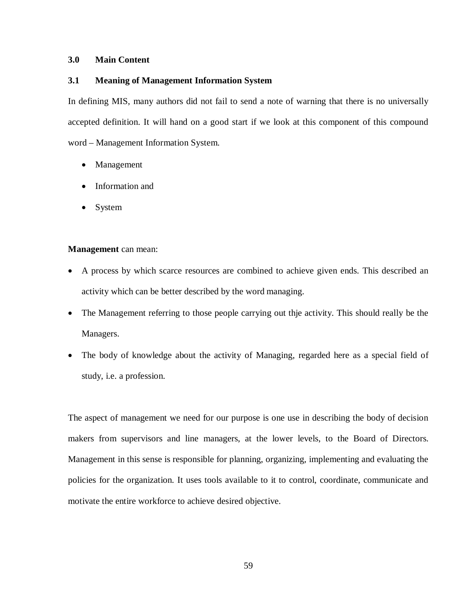## **3.0 Main Content**

# **3.1 Meaning of Management Information System**

In defining MIS, many authors did not fail to send a note of warning that there is no universally accepted definition. It will hand on a good start if we look at this component of this compound word – Management Information System.

- Management
- Information and
- System

## **Management** can mean:

- A process by which scarce resources are combined to achieve given ends. This described an activity which can be better described by the word managing.
- The Management referring to those people carrying out thie activity. This should really be the Managers.
- The body of knowledge about the activity of Managing, regarded here as a special field of study, i.e. a profession.

The aspect of management we need for our purpose is one use in describing the body of decision makers from supervisors and line managers, at the lower levels, to the Board of Directors. Management in this sense is responsible for planning, organizing, implementing and evaluating the policies for the organization. It uses tools available to it to control, coordinate, communicate and motivate the entire workforce to achieve desired objective.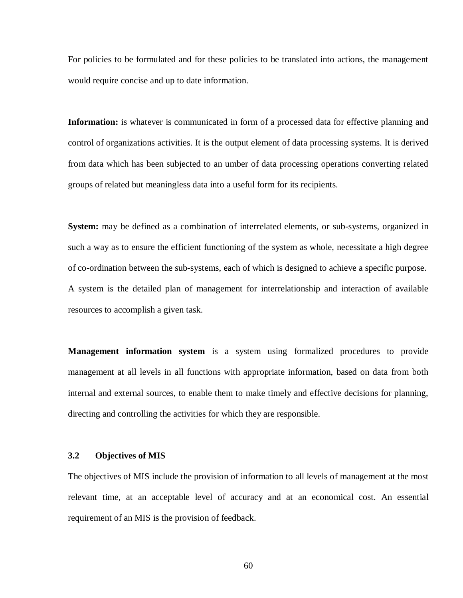For policies to be formulated and for these policies to be translated into actions, the management would require concise and up to date information.

**Information:** is whatever is communicated in form of a processed data for effective planning and control of organizations activities. It is the output element of data processing systems. It is derived from data which has been subjected to an umber of data processing operations converting related groups of related but meaningless data into a useful form for its recipients.

**System:** may be defined as a combination of interrelated elements, or sub-systems, organized in such a way as to ensure the efficient functioning of the system as whole, necessitate a high degree of co-ordination between the sub-systems, each of which is designed to achieve a specific purpose. A system is the detailed plan of management for interrelationship and interaction of available resources to accomplish a given task.

**Management information system** is a system using formalized procedures to provide management at all levels in all functions with appropriate information, based on data from both internal and external sources, to enable them to make timely and effective decisions for planning, directing and controlling the activities for which they are responsible.

#### **3.2 Objectives of MIS**

The objectives of MIS include the provision of information to all levels of management at the most relevant time, at an acceptable level of accuracy and at an economical cost. An essential requirement of an MIS is the provision of feedback.

60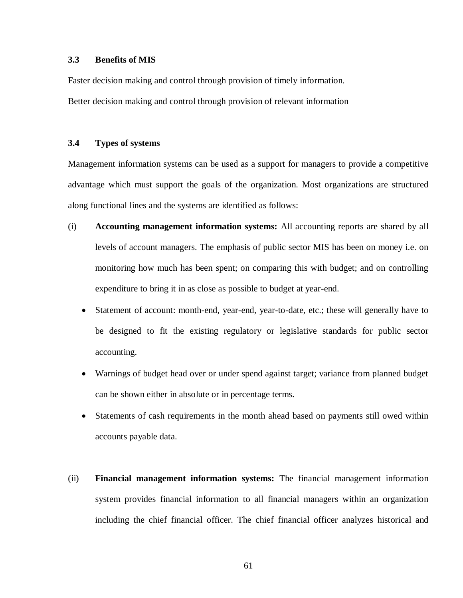# **3.3 Benefits of MIS**

Faster decision making and control through provision of timely information.

Better decision making and control through provision of relevant information

# **3.4 Types of systems**

Management information systems can be used as a support for managers to provide a competitive advantage which must support the goals of the organization. Most organizations are structured along functional lines and the systems are identified as follows:

- (i) **Accounting management information systems:** All accounting reports are shared by all levels of account managers. The emphasis of public sector MIS has been on money i.e. on monitoring how much has been spent; on comparing this with budget; and on controlling expenditure to bring it in as close as possible to budget at year-end.
	- Statement of account: month-end, year-end, year-to-date, etc.; these will generally have to be designed to fit the existing regulatory or legislative standards for public sector accounting.
	- Warnings of budget head over or under spend against target; variance from planned budget can be shown either in absolute or in percentage terms.
	- Statements of cash requirements in the month ahead based on payments still owed within accounts payable data.
- (ii) **Financial management information systems:** The financial management information system provides financial information to all financial managers within an organization including the chief financial officer. The chief financial officer analyzes historical and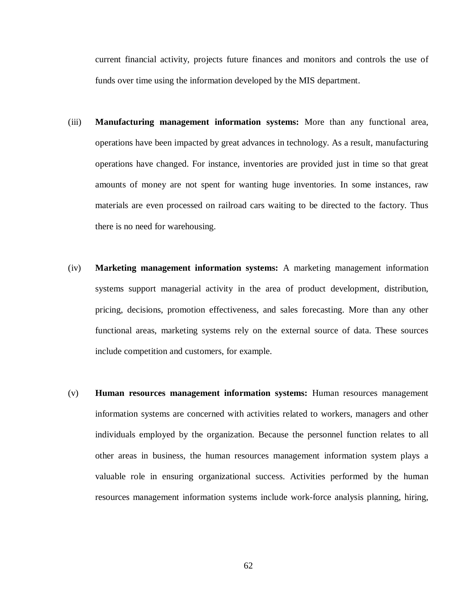current financial activity, projects future finances and monitors and controls the use of funds over time using the information developed by the MIS department.

- (iii) **Manufacturing management information systems:** More than any functional area, operations have been impacted by great advances in technology. As a result, manufacturing operations have changed. For instance, inventories are provided just in time so that great amounts of money are not spent for wanting huge inventories. In some instances, raw materials are even processed on railroad cars waiting to be directed to the factory. Thus there is no need for warehousing.
- (iv) **Marketing management information systems:** A marketing management information systems support managerial activity in the area of product development, distribution, pricing, decisions, promotion effectiveness, and sales forecasting. More than any other functional areas, marketing systems rely on the external source of data. These sources include competition and customers, for example.
- (v) **Human resources management information systems:** Human resources management information systems are concerned with activities related to workers, managers and other individuals employed by the organization. Because the personnel function relates to all other areas in business, the human resources management information system plays a valuable role in ensuring organizational success. Activities performed by the human resources management information systems include work-force analysis planning, hiring,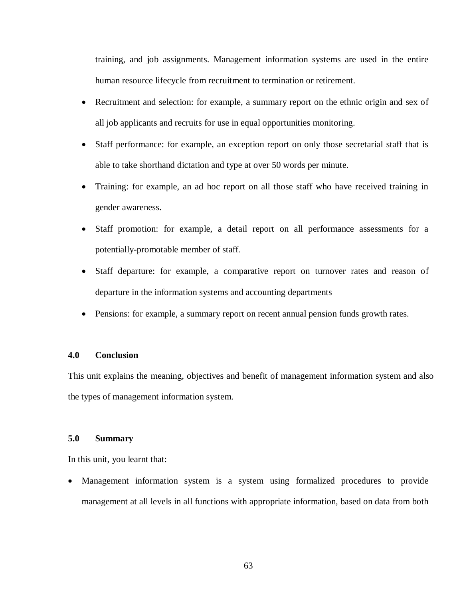training, and job assignments. Management information systems are used in the entire human resource lifecycle from recruitment to termination or retirement.

- Recruitment and selection: for example, a summary report on the ethnic origin and sex of all job applicants and recruits for use in equal opportunities monitoring.
- Staff performance: for example, an exception report on only those secretarial staff that is able to take shorthand dictation and type at over 50 words per minute.
- Training: for example, an ad hoc report on all those staff who have received training in gender awareness.
- Staff promotion: for example, a detail report on all performance assessments for a potentially-promotable member of staff.
- Staff departure: for example, a comparative report on turnover rates and reason of departure in the information systems and accounting departments
- Pensions: for example, a summary report on recent annual pension funds growth rates.

# **4.0 Conclusion**

This unit explains the meaning, objectives and benefit of management information system and also the types of management information system.

# **5.0 Summary**

In this unit, you learnt that:

 Management information system is a system using formalized procedures to provide management at all levels in all functions with appropriate information, based on data from both